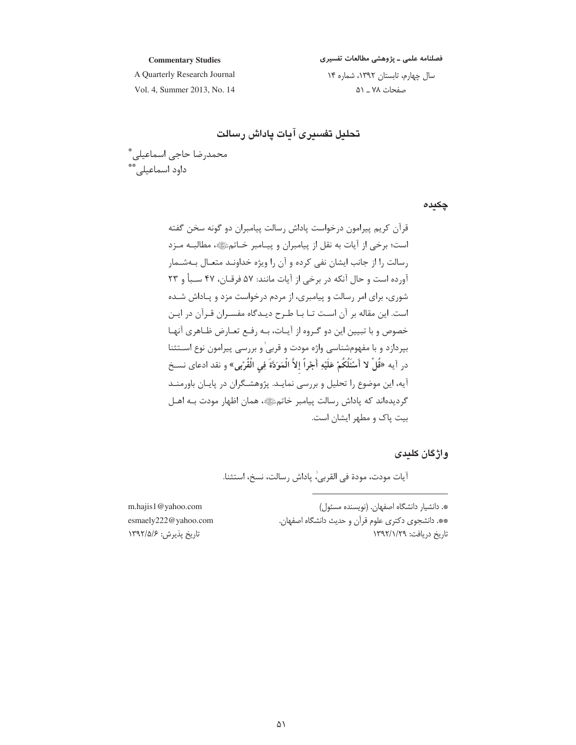#### فصلنامه علمی ـ پژوهشی مطالعات تفسیری

#### **Commentary Studies**

A Quarterly Research Journal Vol. 4, Summer 2013, No. 14 سال چهارم، تابستان ١٣٩٢، شماره ١۴ صفحات ۷۸ \_ ۵۱

تحليل تفسيرى آيات پاداش رسالت

محمدرضا حاجی اسماعیلی ؓ<br>داود اسماعیلی ؓ

چکیدہ

واژگان کلیدی

آيات مودت، مودة في القربي،ٰ پاداش رسالت، نسخ، استثنا.

| m    | *. دانشیار دانشگاه اصفهان. (نویسنده مسئول)         |
|------|----------------------------------------------------|
| .com | **. دانشجوی دکتری علوم قرآن و حدیث دانشگاه اصفهان. |
| l۳   | تاريخ دريافت: ١٣٩٢/١/٢٩                            |

m.hajis1@yahoo.cor esmaely222@yahoo. اريخ پذيرش: ۱۳۹۲/۵/۶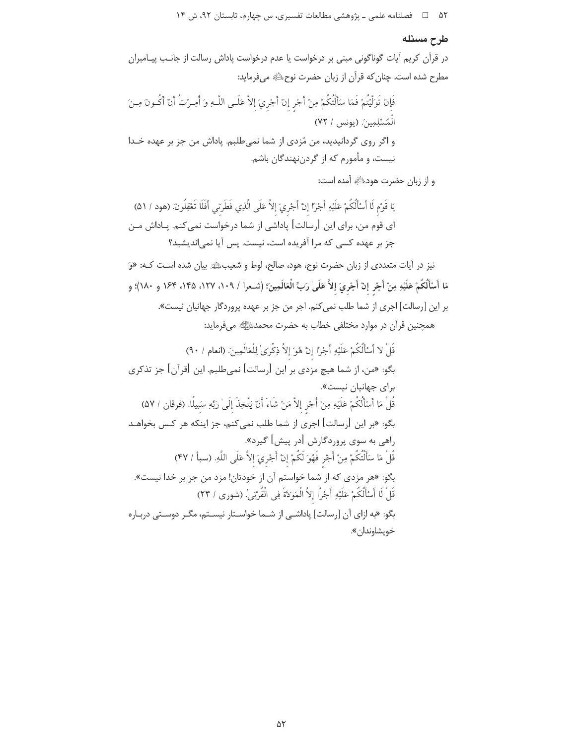۵۲ فصلنامه علمی ـ پژوهشی مطالعات تفسیری، س چهارم، تابستان ۹۲، ش ۱۴

#### طرح مسئله

در قرآن کریم آیات گوناگونی مبنی بر درخواست یا عدم درخواست یاداش رسالت از جانب پیـامبران مطرح شده است. چنان که قرآن از زبان حضرت نوح ﷺ میفرماید:

فَإِنْ تَوَلَّيْتُمْ فَمَا سَأَلْتُكُمْ مِنْ أَجْرِ إِنْ أَجْرِيَ إِلاَّ عَلَـى اللَّـهِ وَ أُمِـرْتُ أَنْ أَكُـونَ مِـنَ الْمُسْلِمِينَ. (يونس / ٧٢) و اگر روی گردانیدید، من مُزدی از شما نمی طلبم. پاداش من جز بر عهده خـدا نیست، و مأمورم که از گردن نهندگان باشم.

و از زبان حضرت هودﷺ آمده است:

يَا قَوْمِ لَا أَسْأَلْكُمْ عَلَيْهِ أَجْرًا إِنْ أَجْرِيَ إِلاَّ عَلَى الَّذِي فَطَرَنِي أَفَلَا تَعْقِلُونَ (هود / ۵۱) ای قوم من، برای این [رسالت] پاداشی از شما درخواست نمیکنم. پـاداش مـن جز بر عهده کسی که مرا آفریده است، نیست. پس آیا نمی|ندیشید؟

نیز در آیات متعددی از زبان حضرت نوح، هود، صالح، لوط و شعیبﷺ بیان شده است کـه: «وَ مَا أَسْأَلُكُمْ عَلَيْهِ مِنْ أَجْرٍ إنْ أَجْرِيَ إلاَّ عَلَىٰ رَبِّ الْعَالَمِينَ؛ (شـعرا / ١٠٩، ١٢٧، ١٣۵، ١۶۴ و ١٨٠)؛ و بر این [رسالت] اجری از شما طلب نمی کنم. اجر من جز بر عهده پروردگار جهانیان نیست». همچنین قرآن در موارد مختلفی خطاب به حضرت محمدﷺ میفرماید:

قُلْ لا أَسْأَلُكُمْ عَلَيْهِ أَجْرًا إنْ هُوَ إلاَّ ذِكْرِيٰ لِلْعَالَمِينَ. (انعام / ٩٠) بگو: «من، از شما هیچ مزدی بر این [رسالت] نمیطلبم. این [قرآن] جز تذکری برای جهانیان نیست». قُلْ مَا أَسْأَلُكُمْ عَلَيْهِ مِنْ أَجْرِ إلاَّ مَنْ شَاءَ أَنْ يَتَّخِذَ إلَىٰ رَبِّهِ سَبِيلًا. (فرقان / ۵۷) بگو: «بر این [رسالت] اجری از شما طلب نمی کنم، جز اینکه هر کـس بخواهـد راهي به سوي پروردگارش [در پيش] گيرد». قُلْ مَا سَأَلْتُكُمْ مِنْ أَجْرِ فَهُوَ لَكُمْ إِنْ أَجْرِيَ إِلاَّ عَلَى اللَّهِ. (سبأ / ۴۷) بگو: «هر مزدی که از شما خواستم آن از خودتان! مزد من جز بر خدا نیست». قُلْ لَا أَسْأَلُكُمْ عَلَيْهِ أَجْرًا إلاَّ الْمَوَدَّةَ فِي الْقُرْبَىٰ. (شورى / ٢٣) .<br>بگو: «به ازای آن [رسالت] یاداشــی از شــما خواســتار نیســتم، مگــر دوســتی دربـاره خويشاوندان».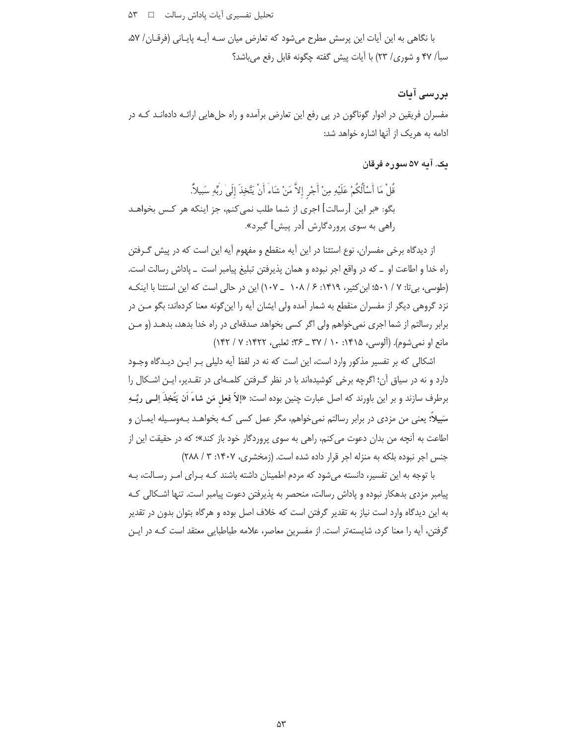تحلیل تفسیری آیات پاداش رسالت D X۳

با نگاهی به این آیات این پرسش مطرح میشود که تعارض میان سـه آیـه پایـانی (فرقـان/ ۵۷، سبأ/ ۴۷ و شوري/ ۲۳) با آيات پيش گفته چگونه قابل رفع مي باشد؟

# بررسی آیات

مفسران فریقین در ادوار گوناگون در پی رفع این تعارض برآمده و راه حلهایی ارائـه دادهانــد کــه در ادامه به هریک از آنها اشاره خواهد شد:

### پک. آپه ۵۷ سوره فرقان

قُلْ مَا أَسْأَلُكُمْ عَلَيْهِ مِنْ أَجْرِ إلاَّ مَنْ شَاءَ أَنْ يَتَّخِذَ إِلَىٰ رَبِّهِ سَبِيلاً. بگو: «بر این [رسالت] اجری از شما طلب نمی کنم، جز اینکه هر کـس بخواهـد راهي به سوي پروردگارش [در پيش] گيرد».

از دیدگاه برخی مفسران، نوع استثنا در این آیه منقطع و مفهوم آیه این است که در پیش گـرفتن راه خدا و اطاعت او \_ كه در واقع اجر نبوده و همان پذيرفتن تبليغ پيامبر است \_ پاداش رسالت است. (طوسی، بی تا: ۷ / ۵۰۱؛ ابن کثیر، ۱۴۱۹: ۶ / ۱۰۸ \_ ۱۰۷) این در حالی است که این استثنا با اینک نزد گروهی دیگر از مفسران منقطع به شمار آمده ولی ایشان آیه را این گونه معنا کردهاند: بگو مـن در برابر رسالتم از شما اجری نمی خواهم ولی اگر کسی بخواهد صدقهای در راه خدا بدهد، بدهـد (و مـن مانع او نمي شوم). (آلوسي، ۱۴۱۵: ۱۰ / ۳۷ \_ ۳۶: ثعلبي، ۱۴۲۲: ۷ / ۱۴۲)

اشکالی که بر تفسیر مذکور وارد است، این است که نه در لفظ آیه دلیلی بـر ایـن دیـدگاه وجـود دارد و نه در سیاق آن؛ اگرچه برخی کوشیدهاند با در نظر گـرفتن کلمـهای در تقـدیر، ایـن اشـکال را برطرف سازند و بر این باورند که اصل عبارت چنین بوده است: «إلاّ فِعل مَن شاءَ اَن يَتَّخِذَ اِلــي ربِّــهِ سَبِيلاً؛ یعنی من مزدی در برابر رسالتم نمیِ خواهم، مگر عمل کسی کـه بخواهـد بـهوسـیله ایمـان و اطاعت به آنچه من بدان دعوت می کنم، راهی به سوی پروردگار خود باز کند»؛ که در حقیقت این از جنس اجر نبوده بلكه به منزله اجر قرار داده شده است. (زمخشری، ۱۴۰۷: ۳/ ۲۸۸)

با توجه به این تفسیر، دانسته میشود که مردم اطمینان داشته باشند کـه بـرای امـر رسـالت، بـه پیامبر مزدی بدهکار نبوده و یاداش رسالت، منحصر به پذیرفتن دعوت پیامبر است. تنها اشـکالی کـه به این دیدگاه وارد است نیاز به تقدیر گرفتن است که خلاف اصل بوده و هرگاه بتوان بدون در تقدیر گرفتن، آیه را معنا کرد، شایستهتر است. از مفسرین معاصر، علامه طباطبایی معتقد است کـه در ایـن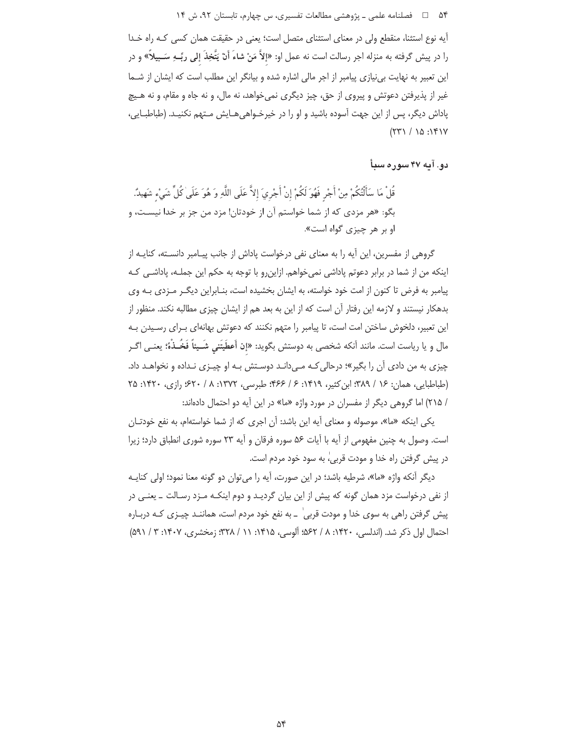آيه نوع استثنا، منقطع ولي در معناي استثناي متصل است؛ يعني در حقيقت همان كسي كـه راه خـدا را در پیش گرفته به منزله اجر رسالت است نه عمل او: «إلاَّ مَنْ شاءَ أَنْ يَتَّخِذَ إلى ربِّـهِ سَــبِيلاً» و در این تعبیر به نهایت بی نیازی پیامبر از اجر مالی اشاره شده و بیانگر این مطلب است که ایشان از شـما غير از پذيرفتن دعوتش و پيروي از حق، چيز ديگري نمي خواهد، نه مال، و نه جاه و مقام، و نه هـيچ پاداش دیگر، پس از این جهت آسوده باشید و او را در خیرخـواهیِ هـایش مـتهم نکنیـد. (طباطبـایی،  $(57) / 10 : 181V$ 

دو. آيه ۴۷ سوره سيأ

قُلْ مَا سَأَلْتُكُمْ مِنْ أَجْرٍ فَهُوَ لَكُمْ إِنْ أَجْرِيَ إِلاَّ عَلَى اللَّهِ وَ هُوَ عَلَىٰ كُلِّ شَيْء شَهيدٌ. بگو: «هر مزدی که از شما خواستم آن از خودتان! مزد من جز بر خدا نیست، و او بر هر چیزی گواه است».

گروهی از مفسرین، این آیه را به معنای نفی درخواست یاداش از جانب پیـامبر دانسـته، کنایـه از اینکه من از شما در برابر دعوتم پاداشی نمیخواهم. ازاینرو با توجه به حکم این جملـه، پاداشـی کـه پیامبر به فرض تا کنون از امت خود خواسته، به ایشان بخشیده است، بنـابراین دیگـر مـزدی بـه وی بدهکار نیستند و لازمه این رفتار آن است که از این به بعد هم از ایشان چیزی مطالبه نکند. منظور از این تعبیر، دلخوش ساختن امت است، تا پیامبر را متهم نکنند که دعوتش بهانهای بـرای رسـیدن بـه مال و يا رياست است. مانند اَنكه شخصي به دوستش بگويد: «إن أَعطَيتَني شَـيئاً فَخُـذْهُ؛ يعنـي اگـر چیزی به من دادی آن را بگیر»؛ درحالی *ک*ه میدانـد دوسـتش بـه او چیـزی نـداده و نخواهـد داد. (طباطبایی، همان: ۱۶ / ۳۸۹؛ این کثیر، ۱۴۱۹: ۶ / ۴۶۶؛ طبرسی، ۱۳۷۲: ۸ / ۶۲۰؛ رازی، ۱۴۲۰: ۲۵ / ٢١۵) اما گروهی دیگر از مفسران در مورد واژه «ما» در این آیه دو احتمال دادهاند:

یکی اینکه «ما»، موصوله و معنای آیه این باشد: آن اجری که از شما خواستهام، به نفع خودتـان است. وصول به چنین مفهومی از آیه با آیات ۵۶ سوره فرقان و آیه ۲۳ سوره شوری انطباق دارد؛ زیرا در پیش گرفتن راه خدا و مودت قربی،ٰ به سود خود مردم است.

ديگر آنكه واژه «ما»، شرطيه باشد؛ در اين صورت، آيه را مي توان دو گونه معنا نمود؛ اولي كنايـه از نفی درخواست مزد همان گونه که پیش از این بیان گردیـد و دوم اینکـه مـزد رسـالت ـ یعنـی در پیش گرفتن راهی به سوی خدا و مودت قربیٰ \_ به نفع خود مردم است، هماننـد چیــزی کـه دربــاره احتمال اول ذكر شد. (اندلسي، ۱۴۲۰: ۸/ ۵۶۲؛ آلوسي، ۱۴۱۵: ۱۱ / ۳۲۸؛ زمخشري، ۱۴۰۷: ۳ / ۵۹۱)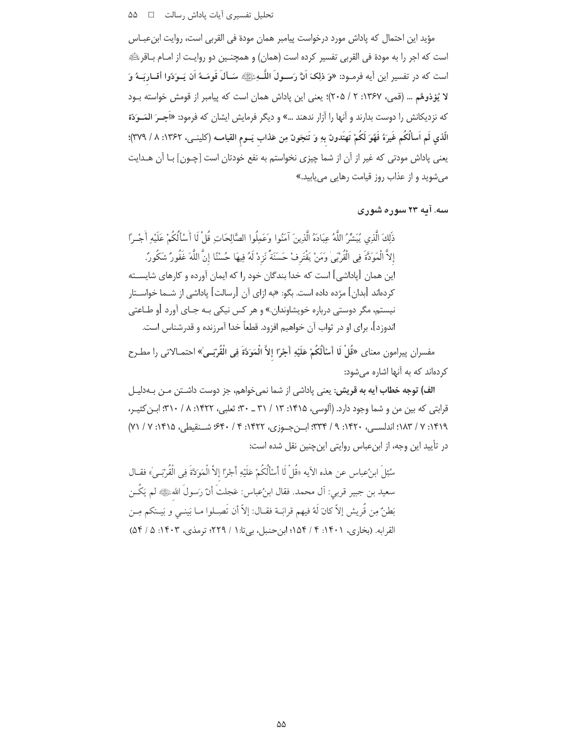مؤيد اين احتمال كه پاداش مورد درخواست پيامبر همان مودة في القربي است، روايت ابنءبـاس است كه اجر را به مودة في القربي تفسير كرده است (همان) و همچنـين دو روايـت از امـام بـاقرﷺ است كه در تفسير اين آيه فرمـود: «وَ ذلِكَ اَنَّ رَسـولَ اللَّــهِﷺ سَـألَ قَومَــهُ اَن يَــوَدّوا أقــاربَــهُ وَ لا يُؤذوهُم … (قمي، ١٣۶٧: ٢ / ٢٠۵)؛ يعني اين ياداش همان است كه ييامبر از قومش خواسته بـود که نزدیکانش را دوست بدارند و آنها را آزار ندهند …» و دیگر فرمایش ایشان که فرمود: «اَجِــرَ المَــوَدّة الَّذي لَم اَسألْكُم غَيرَهُ فَهُوَ لَكُمْ تَهتَدونَ بهِ وَ تَنجَونَ مِن عَذاب يَــوم القيامــه (كلينــى، ١٣۶٢: ٨ / ٣٧٩)؛ يعني پاداش مودتي كه غير از آن از شما چيزي نخواستم به نفع خودتان است [چـون] بـا آن هـدايت می شوید و از عذاب روز قیامت رهایی می یابید.»

# سه. آمه ۲۳ سوره شوری

ذلكَ الَّذِي يُبَشِّرُ اللَّهُ عِبَادَهُ الَّذِينَ آمَنُوا وَعَملُوا الصَّالِحَاتِ قُلْ لَا أَسْأَلُكُمْ عَلَيْه أَجْبِرًا إِلاَّ الْمَوَدَّةَ فِي الْقُرْبَىٰ وَمَنْ يَقْتَرِفْ حَسَنَةً نَزِدْ لَهُ فِيهَا حُسْنًا إِنَّ اللَّهَ غَفُورٌ شكُورٌ. این همان [پاداشی] است که خدا بندگان خود را که ایمان آورده و کارهای شایســته كردهاند [بدان] مژده داده است. بگو: «به ازاي آن [رسالت] ياداشي از شــما خواســتار نیستم، مگر دوستی درباره خویشاوندان.» و هر کس نیکی بـه جـای آورد [و طـاعتی اندوزد]، برای او در ثواب آن خواهیم افزود. قطعاً خدا آمرزنده و قدرشناس است.

مفسران پیرامون معنای «قُلْ لَا أَسْأَلُكُمْ عَلَيْهِ أَجْرًا إِلاَّ الْمَوَدَّةَ فِي الْقُرْبَـيِّ» احتمـالاتي را مطـرح کر دهاند که به آنها اشاره میشود:

الف) توجه خطاب آيه به قريش: يعني پاداشي از شما نميخواهم، جز دوست داشـتن مـن بــهدليـل قرابتی که بین من و شما وجود دارد. (آلوسی، ۱۴۱۵: ۱۳ / ۳۱ ـ ۳۰: ثعلبی، ۱۴۲۲: ۸ / ۳۱۰: ابن کثیـر، ١٣١٩: ٧ / ١٨٣: اندلسهي، ١۴٢٠: ٩ / ٣٣٣: ابـن جـوزي، ١۴٢٢: ٤ / ٤٣٠: ٤٠٠ شـنقيطي، ١٣١٥: ٧ / ٧١) در تأييد اين وجه، از ابن عباس روايتي اين چنين نقل شده است:

سُئِلَ ابنُ عباس عن هذه الآيه «قُلْ لَا أَسْأَلُكُمْ عَلَيْهِ أَجْرًا إلاَّ الْمَوَكَةَ فِي الْقُرْبَـي<sup>'</sup>» فقــال سعيد بن جبير قربي: أل محمد. فقال ابنُءباس: عَجلتَ أنّ رَسولَ اللهﷺ لم يَكُـن بَطنَّ مِن قُرِيش إلاّ كانَ لَهُ فيهم قرابَـة فقـال: إلاّ أن تَصِـلوا مـا بَينـي و بَيـنكم مِـن القرابه. (بخاري، ۱۴۰۱: ۴ / ۱۵۴؛ ابن حنبل، بي تا: ۱ / ۲۲۹؛ ترمذي، ۱۴۰۳: ۵ / ۵۴)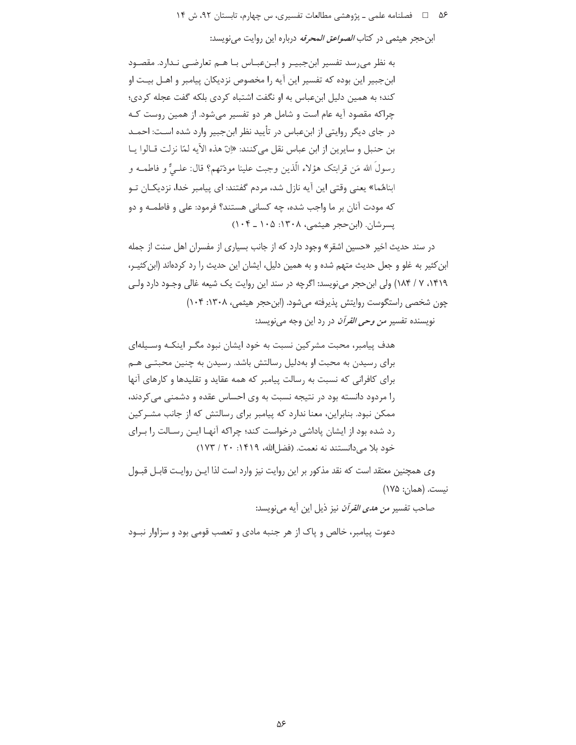۵۶ = 1 فصلنامه علمی ـ یژوهشی مطالعات تفسیری، س چهارم، تابستان ۹۲، ش ۱۴

ابن حجر هیثمی در کتاب *الصواعق المحرفه* درباره این روایت می نویسد:

به نظر می رسد تفسیر ابن جبیـر و ابـنءبـاس بـا هـم تعارضـی نـدارد. مقصـود ابن جبير اين بوده كه تفسير اين آيه را مخصوص نزديكان پيامبر و اهـل بيـت او کند؛ به همین دلیل ابنعباس به او نگفت اشتباه کردی بلکه گفت عجله کردی؛ چراکه مقصود آیه عام است و شامل هر دو تفسیر می شود. از همین روست کـه در جای دیگر روایتی از ابنِعباس در تأیید نظر ابنِجبیر وارد شده اسـت: احمـد بن حنبل و سايرين از ابن عباس نقل مي كنند: «إنّ هذه الآيه لمّا نزلت قـالوا يـا رسولُ الله مَن قرابتك هؤلاء الَّذين وجبت علينا مودَّتهم؟ قال: علـيٌّ و فاطمــه و ابناهُما» یعنی وقتی این آیه نازل شد، مردم گفتند: ای پیامبر خدا، نزدیکـان تـو که مودت آنان بر ما واجب شده، چه کسانی هستند؟ فرمود: علی و فاطمـه و دو يسرشان. (ابن حجر هيثمي، ١٣٠٨: ١٠۵ ـ ١٠۴)

در سند حدیث اخیر «حسین اشقر» وجود دارد که از جانب بسیاری از مفسران اهل سنت از جمله ابن کثیر به غلو و جعل حدیث متهم شده و به همین دلیل، ایشان این حدیث را رد کردهاند (ابن کثیـر، ١۴١٩، ٧ / ١٨۴) ولي ابن حجر ميiويسد: اگرچه در سند اين روايت يک شيعه غالي وجـود دارد ولـي چون شخصی راستگوست روایتش پذیرفته می شود. (این حجر هیثمی، ۱۳۰۸: ۱۰۴) نویسنده تفسیر *من وحی القرآن* در رد این وجه مینویسد:

هدف پیامبر، محبت مشرکین نسبت به خود ایشان نبود مگـر اینکـه وسـیلهای برای رسیدن به محبت او بهدلیل رسالتش باشد. رسیدن به چنین محبتبی هـم برای کافرانی که نسبت به رسالت پیامبر که همه عقاید و تقلیدها و کارهای آنها را مردود دانسته بود در نتیجه نسبت به وی احساس عقده و دشمنی می کردند، ممکن نبود. بنابراین، معنا ندارد که پیامبر برای رسالتش که از جانب مشـرکین رد شده بود از ایشان پاداشی درخواست کند؛ چراکه آنهـا ایـن رسـالت را بـرای خود بلا می دانستند نه نعمت. (فضل الله، ١۴١٩: ٢٠ / ١٧٣)

وی همچنین معتقد است که نقد مذکور بر این روایت نیز وارد است لذا ایـن روایـت قابـل قبـول نيست. (همان: ١٧۵)

صاحب تفسير *من هدى القرآن* نيز ذيل اين آيه مى نويسد:

دعوت پیامبر، خالص و پاک از هر جنبه مادی و تعصب قومی بود و سزاوار نبـود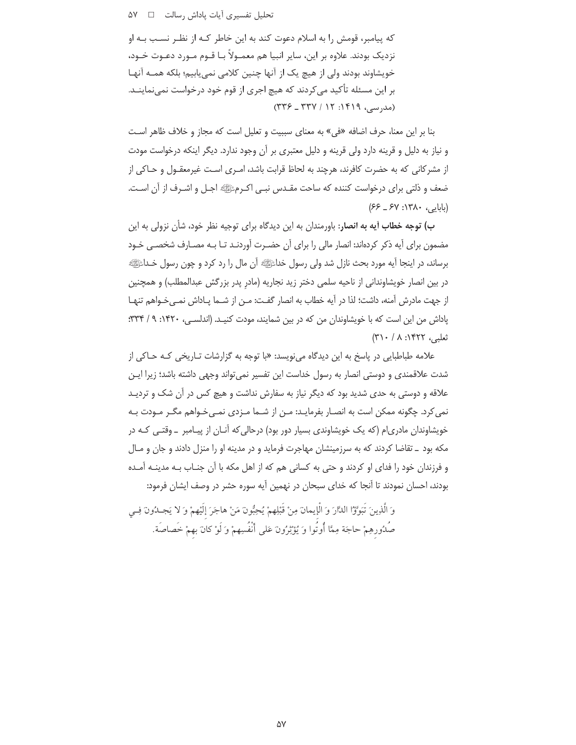که پیامبر، قومش را به اسلام دعوت کند به این خاطر کـه از نظـر نسـب بـه او نزدیک بودند. علاوه بر این، سایر انبیا هم معمــولاً بــا قــوم مــورد دعــوت خــود، خویشاوند بودند ولی از هیچ یک از آنها چنین کلامی نمی یابیم؛ بلکه همـه آنهـا بر این مسئله تأکید مے کردند که هیچ اجری از قوم خود درخواست نمے نماینــد.  $(TYZ - TYY / 1Y : 1f19,$  (مدرسی)

بنا بر اين معنا، حرف اضافه «في» به معناي سبيبت و تعليل است كه مجاز و خلاف ظاهر اسـت و نیاز به دلیل و قرینه دارد ولی قرینه و دلیل معتبری بر آن وجود ندارد. دیگر اینکه درخواست مودت از مشركاني كه به حضرت كافرند، هرچند به لحاظ قرابت باشد، امـرى اسـت غيرمعقـول و حـاكي از ضعف و ذلتي براي درخواست كننده كه ساحت مقـدس نبـي اكـرمﷺ اجـل و اشـرف از آن اسـت. (بابایی، ۱۳۸۰: ۶۷–۶۶)

ب) توجه خطاب آیه به انصار: باورمندان به این دیدگاه برای توجیه نظر خود، شأن نزولی به این مضمون برای آیه ذکر کردهاند: انصار مالی را برای آن حضـرت آوردنـد تـا بـه مصـارف شخصـی خـود برساند، در اینجا آیه مورد بحث نازل شد ولی رسول خداعی الی مال را رد کرد و چون رسول خـداعی ا در بین انصار خویشاوندانی از ناحیه سلمی دختر زید نجاریه (مادر پدر بزرگش عبدالمطلب) و همچنین از جهت مادرش آمنه، داشت؛ لذا در آیه خطاب به انصار گفت: مـن از شـما یـاداش نمـی خـواهم تنهـا یاداش من این است که با خویشاوندان من که در بین شمایند، مودت کنیـد. (اندلسـی، ۱۴۲۰: ۹/ ۳۳۴؛ تعلیہ، ۱۴۲۲: ۸/ ۳۱۰)

علامه طباطبایی در پاسخ به این دیدگاه می نویسد: «با توجه به گزارشات تـاریخی کـه حـاکی از شدت علاقمندی و دوستی انصار به رسول خداست این تفسیر نمی تواند وجهی داشته باشد؛ زیرا ایـن علاقه و دوستی به حدی شدید بود که دیگر نیاز به سفارش نداشت و هیچ کس در آن شک و تردیـد نمی کرد. چگونه ممکن است به انصـار بفرمایـد: مـن از شـما مـزدی نمـی خـواهم مگـر مـودت بـه خویشاوندان مادری|م (که یک خویشاوندی بسیار دور بود) درحالی که آنـان از پیـامبر \_ وقتـی کـه در مکه بود \_ تقاضا کردند که به سرزمینشان مهاجرت فرماید و در مدینه او را منزل دادند و جان و مـال و فرزندان خود را فدای او کردند و حتی به کسانی هم که از اهل مکه با آن جنـاب بـه مدینـه آمـده بودند، احسان نمودند تا آنجا که خدای سبحان در نهمین آیه سوره حشر در وصف ایشان فرمود:

وَ الَّذِينَ تَبَوَّوْا الدَّارَ وَ الْإِيمانَ مِنْ قَبْلِهِمْ يُحِبُّونَ مَنْ هاجَرَ إِلَيْهِمْ وَ لا يَجلُّونَ فِي صُدُورهِمْ حاجَة مِمَّا أُوتُوا وَ يُؤْثِرُونَ عَلى أَنْفُسِهِمْ وَ لَوْ كانَ بهمْ خَصاصَة.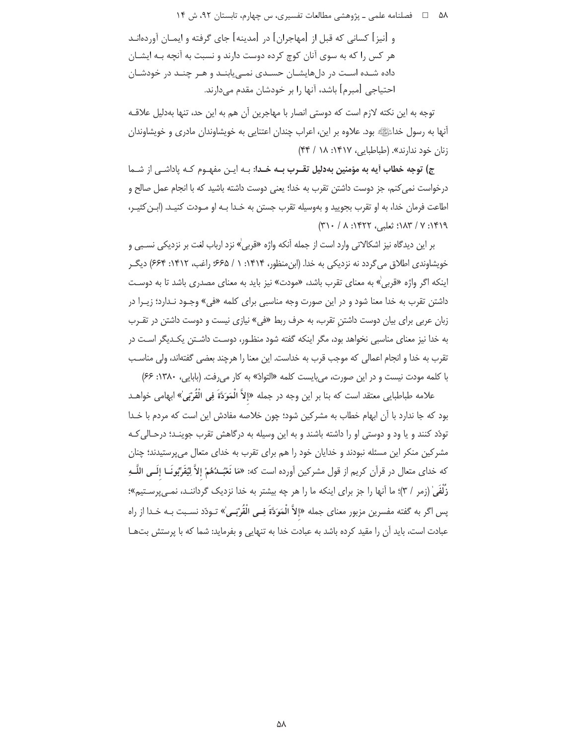۵۸ = □ فصلنامه علمی ـ یژوهشی مطالعات تفسیری، س چهارم، تابستان ۹۲، ش ۱۴

و [نیز] کسانی که قبل از [مهاجران] در [مدینه] جای گرفته و ایمـان آوردهانـد هر کس را که به سوی آنان کوچ کرده دوست دارند و نسبت به آنچه بـه ایشـان داده شـده اسـت در دلهایشـان حسـدی نمـی،یابنـد و هـر چنـد در خودشـان احتیاجی [مبرم] باشد، آنها را بر خودشان مقدم می دارند.

توجه به این نکته لازم است که دوستی انصار با مهاجرین آن هم به این حد، تنها بهدلیل علاقـه آنها به رسول خدائی این بود. علاوه بر این، اعراب چندان اعتنایی به خویشاوندان مادری و خویشاوندان زنان خود ندارند». (طباطبایی، ۱۴۱۷: ۱۸ / ۴۴)

ج) توجه خطاب آیه به مؤمنین به**دلیل تقــرب بــه خــد**ا: بــه ایــن مفهــوم کــه پاداشــی از شــما درخواست نمی کنم، جز دوست داشتن تقرب به خدا؛ یعنی دوست داشته باشید که با انجام عمل صالح و اطاعت فرمان خدا، به او تقرب بجوييد و بهوسيله تقرب جستن به خـدا بـه او مـودت كنيـد. (ابـن كثيـر، ١٣١٩: ٧ / ١٨٣: ثعلبه، ١٣٢٢: ٨ / ٣١٠/

بر این دیدگاه نیز اشکالاتی وارد است از جمله آنکه واژه «قربی<sup>'</sup>» نزد ارباب لغت بر نزدیکی نسـبی و خویشاوندی اطلاق می گردد نه نزدیکی به خدا. (ابن منظور، ۱۴۱۴: ۱ / ۶۶۵؛ راغب، ۱۴۱۲: ۶۶۴) دیگ اینکه اگر واژه «قربی» به معنای تقرب باشد، «مودت» نیز باید به معنای مصدری باشد تا به دوست داشتن تقرب به خدا معنا شود و در این صورت وجه مناسبی برای کلمه «فی» وجـود نـدارد؛ زیـرا در زبان عربی برای بیان دوست داشتن تقرب، به حرف ربط «فی» نیازی نیست و دوست داشتن در تقـرب به خدا نیز معنای مناسبی نخواهد بود، مگر اینکه گفته شود منظـور، دوسـت داشـتن یکـدیگر اسـت در تقرب به خدا و انجام اعمالی که موجب قرب به خداست. این معنا را هرچند بعضی گفتهاند، ولی مناسب با کلمه مودت نیست و در این صورت، می بایست کلمه «التوادّ» به کار می رفت. (بابایی، ۱۳۸۰: ۶۶)

علامه طباطبايي معتقد است كه بنا بر اين وجه در جمله «إلاَّ الْمَوَدَّةَ فِي الْقُرْبَىٰ» ابهامي خواهــد بود که جا ندارد با آن ابهام خطاب به مشرکین شود؛ چون خلاصه مفادش این است که مردم با خـدا تودّد کنند و یا ود و دوستی او را داشته باشند و به این وسیله به درگاهش تقرب جوینـد؛ درحـالی کـه مشرکین منکر این مسئله نبودند و خدایان خود را هم برای تقرب به خدای متعال میپرستیدند؛ چنان كه خداي متعال در قرآن كريم از قول مشركين آورده است كه: «مَا نَعْبُـدُهُمْ إلاَّ لِيُفَرِّبُونَــا إلَــي اللَّــهِ زُلْفَىٰ (زمر / ٣)؛ ما آنها را جز براي اينكه ما را هر چه بيشتر به خدا نزديک گرداننــد، نمـي پرسـتيم»؛ پس اگر به گفته مفسرین مزبور معنای جمله «إلاَّ الْمَوَدَّةَ فِــى الْقُرْبَــىٰ» تــودّد نسـبت بــه خــدا از راه عبادت است، باید آن را مقید کرده باشد به عبادت خدا به تنهایی و بفرماید: شما که با پرستش بتها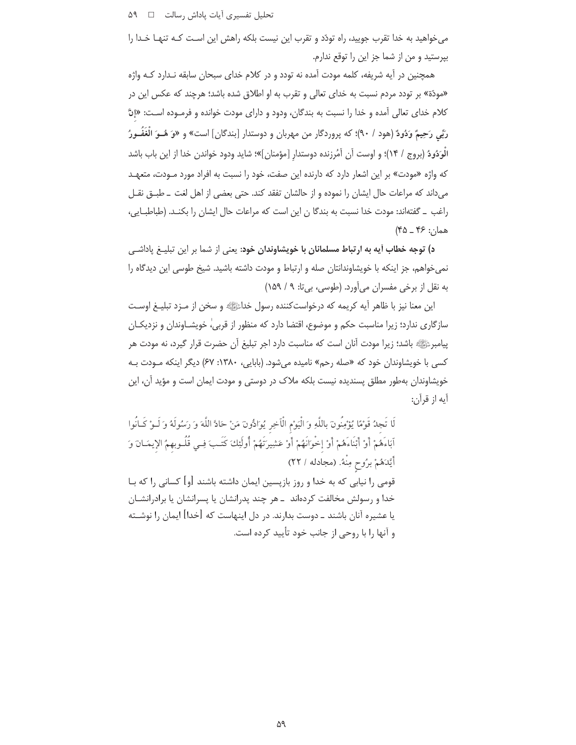تحلیل تفسیری آیات پاداش رسالت D 18

می خواهید به خدا تقرب جویید، راه تودّد و تقرب این نیست بلکه راهش این اسـت کـه تنهـا خـدا را بيرستيد و من از شما جز اين را توقع ندارم.

همچنین در آیه شریفه، کلمه مودت آمده نه تودد و در کلام خدای سبحان سابقه نـدارد کـه واژه «مودّة» بر تودد مردم نسبت به خدای تعالی و تقرب به او اطلاق شده باشد؛ هرچند که عکس این در كلام خداى تعالى آمده و خدا را نسبت به بندگان، ودود و داراى مودت خوانده و فرمـوده اسـت: «إنَّ رَبِّي رَحِيمٌ وَدُودٌ (هود / ٩٠)؛ كه پروردگار من مهربان و دوستدار [بندگان] است» و «وَ هُــوَ الْغُفَــورُ الْوَدُودُ (بروج / ١۴)؛ و اوست أن أَمُرزنده دوستدار [مؤمنان]»؛ شايد ودود خواندن خدا از اين باب باشد که واژه «مودت» بر این اشعار دارد که دارنده این صفت، خود را نسبت به افراد مورد مـودت، متعهـد می داند که مراعات حال ایشان را نموده و از حالشان تفقد کند. حتی بعضی از اهل لغت \_ طبــق نقــل راغب \_ گفتهاند: مودت خدا نسبت به بندگا ن این است که مراعات حال ایشان را بکنـد. (طباطبـایی،  $(40 - 15)$  همان: ۶۶

د) توجه خطاب آیه به ارتباط مسلمانان با خویشاوندان خود: یعنی از شما بر این تبلیـغ یاداشـی نمیخواهم، جز اینکه با خویشاوندانتان صله و ارتباط و مودت داشته باشید. شیخ طوسی این دیدگاه را به نقل از برخی مفسران میآورد. (طوسی، بیتا: ۹ / ۱۵۹)

این معنا نیز با ظاهر آیه کریمه که درخواستکننده رسول خداﷺ و سخن از مـزد تبلیـغ اوسـت سازگاری ندارد؛ زیرا مناسبت حکم و موضوع، اقتضا دارد که منظور از قربی، خویشــاوندان و نزدیکــان پیامبرﷺ باشد؛ زیرا مودت آنان است که مناسبت دارد اجر تبلیغ آن حضرت قرار گیرد، نه مودت هر کسی با خویشاوندان خود که «صله رحم» نامیده میشود. (بابایی، ۱۳۸۰: ۶۷) دیگر اینکه مـودت بـه خویشاوندان بهطور مطلق پسندیده نیست بلکه ملاک در دوستی و مودت ایمان است و مؤید آن، این آيه از قرآن:

لَا تَجِدُ قَوْمًا يُؤْمِنُونَ بِاللَّهِ وَ الْيَوْمِ الْآخِرِ يُوَادُّونَ مَنْ حَادَّ اللَّهَ وَ رَسُولَهُ وَ لَـوْ كَـانُوا اَبَاءَهُمْ أَوْ أَبْنَاءَهُمْ أَوْ إخْوَانَهُمْ أَوْ عَشِيرَتَهُمْ أُولَٰئِكَ كَتَـبَ فِـي قُلُـوبهمُ الإيمَـانَ وَ أَيَّدَهُمْ بِرُوحٍ مِنْهُ. (مجادله / ٢٢) قومی را نیابی که به خدا و روز بازپسین ایمان داشته باشند [و] کسانی را که بـا خدا و رسولش مخالفت کردهاند \_هر چند پدرانشان یا پسرانشان یا برادرانشــان یا عشیره آنان باشند ــ دوست بدارند. در دل اینهاست که [خدا] ایمان را نوشــته و آنها را با روحی از جانب خود تأیید کرده است.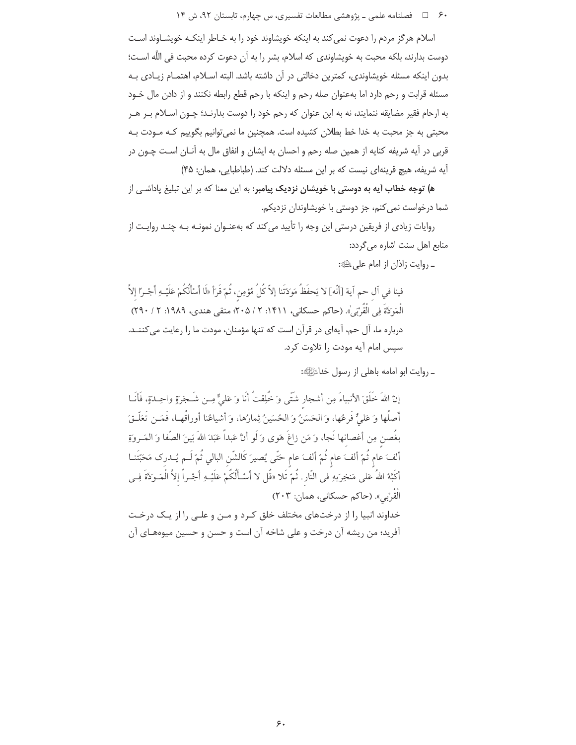۶۰ = = فصلنامه علمی ـ یژوهشی مطالعات تفسیری، س چهارم، تابستان ۹۲، ش ۱۴

اسلام هرگز مردم را دعوت نمی کند به اینکه خویشاوند خود را به خـاطر اینکـه خویشــاوند اسـت دوست بدارند، بلكه محبت به خويشاوندي كه اسلام، بشر را به آن دعوت كرده محبت في اللَّه اسـت؛ بدون اینکه مسئله خویشاوندی، کمترین دخالتی در آن داشته باشد. البته اسـلام، اهتمـام زیـادی بـه مسئله قرابت و رحم دارد اما بهعنوان صله رحم و اینکه با رحم قطع رابطه نکنند و از دادن مال خـود به ارحام فقير مضايقه ننمايند، نه به اين عنوان كه رحم خود را دوست بدارنـد؛ چـون اسـلام بـر هـر محبتی به جز محبت به خدا خط بطلان کشیده است. همچنین ما نمی توانیم بگوییم کـه مـودت بـه قربی در آیه شریفه کنایه از همین صله رحم و احسان به ایشان و انفاق مال به آنـان اسـت چـون در آيه شريفه، هيچ قرينهاي نيست كه بر اين مسئله دلالت كند. (طباطبايي، همان: ۴۵)

ه**) توجه خطاب آیه به دوستی با خویشان نزدیک** پ**یامبر**: به این معنا که بر این تبلیغ یاداشـی از شما درخواست نمي كنم، جز دوستي با خويشاوندان نزديكم.

روایات زیادی از فریقین درستی این وجه را تأیید می کند که بهعنـوان نمونـه بـه چنـد روایـت از منابع اهل سنت اشاره مے گردد:

ـ روايت زاذان از امام على ﷺ:

فينا في آل حم آية [أنّه] لا يَحفَظُ مَوَدَتَنا إلاّ كُلُّ مُؤمِن، ثُمّ قَرَأ «لَا أَسْأَلُكُمْ عَلَيْـهِ أَجْـرًا إلاّ الْمَوَكَةَ فِي الْقُرْبَيِّ). (حاكم حسكاني، ١۴١١: ٢ / ٢٠۵، متقى هندي، ١٩٨٩: ٢ / ٢٩٠) درباره ما، آل حم، آیهای در قرآن است که تنها مؤمنان، مودت ما را رعایت می کننـد. سیس امام آیه مودت ,ا تلاوت کرد.

۔ روایت ابو امامه باهلی از رسول خداﷺ:

إنّ اللهَ خَلَقَ الأنبياءَ مِن أشجار شَتَّى وَ خُلِقتُ أَنَا وَ عَليٌّ مِـن شَـجَرَةٍ واحِـدَةٍ، فَأَنَــا أصلُها وَ عَلَىٌّ فَرِعُها، وَ الحَسَنُ وَ الحُسَينُ ثِمارُها، وَ أشياعُنا أوراقُهـا، فَمَــن تَعَلّـقَ بغُصن مِن أغصانها نَجا، وَ مَن زاغَ هَوى وَ لَو أنَّ عَبداً عَبَدَ اللهَ بَينَ الصَّفا وَ المَــروةِ ألفَ عام ثُمّ ألفَ عام ثُمّ ألفَ عام حَتّى يُصيرَ كَالشّن البالي ثُمّ لَـم يُــدرك مَحَبّتَنــا أكَبَّهُ اللهُ عَلى مَنخِرَيهِ في النّار. ثُمَّ تَلا «قُل لا أَسْـأَلُكُمْ عَلَيْـهِ أَجْـراً إلاَّ الْمَـوَدَّةَ فِـي الْقُرْبِي». (حاكم حسكاني، همان: ٢٠٣) خداوند انبیا را از درختهای مختلف خلق کرد و مـن و علـی را از یـک درخـت أفريد؛ من ريشه أن درخت و على شاخه أن است و حسن و حسين ميوههاي أن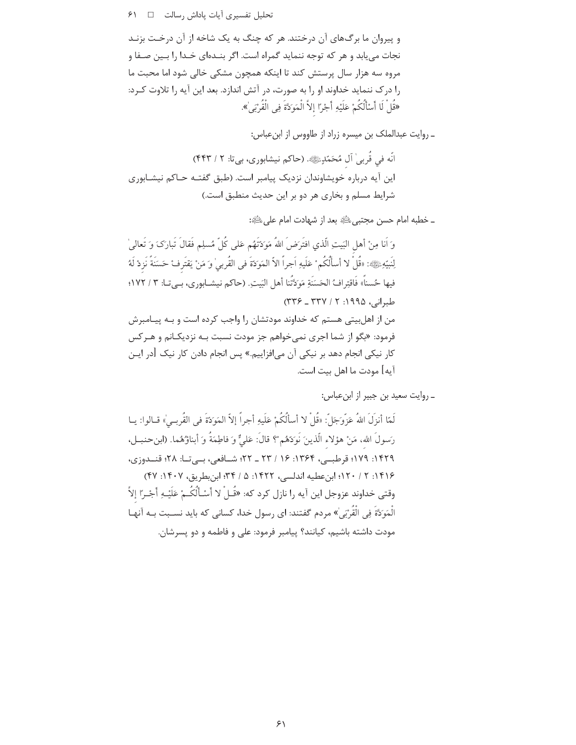تحليل تفسيري آيات پاداش رسالت □ / ۶١

و پیروان ما برگهای آن درختند. هر که چنگ به یک شاخه از آن درخت بزنـد نجات می یابد و هر که توجه ننماید گمراه است. اگر بنـدهای خـدا را بـین صـفا و مروه سه هزار سال پرستش کند تا اینکه همچون مشکی خالی شود اما محبت ما را درک ننماید خداوند او را به صورت، در آتش اندازد. بعد این آیه را تلاوت کـرد: «قُلْ لَا أَسْأَلُكُمْ عَلَيْهِ أَجْرًا إِلاَّ الْمَوَدَّةَ فِي الْقُرْبَىٰ».

ـ روايت عبدالملك بن ميسره زراد از طاووس از ابنءباس:

انّه في قُربي ٰ آل مُحَمّدٍﷺ. (حاكم نيشابوري، بيتا: ٢ / ۴۴۳) این آیه درباره خویشاوندان نزدیک پیامبر است. (طبق گفتـه حـاکم نیشـابوری شرایط مسلم و بخاری هر دو بر این حدیث منطبق است.)

\_ خطبه امام حسن مجتبي ﷺ بعد از شهادت امام على ﷺ:

وَ أَنا مِنْ أَهلِ البَيتِ الَّذي افتَرَضَ اللهُ مَوَدَّتَهُم عَلى كُلِّ مُسلِمٍ فَقالَ تَبارَكَ وَ تَعالىٰ لِنَبِيّهِﷺ: «قُلْ لا أسأَلْكُم ْ عَلَيهِ اَجراً الاّ المَوَدّةَ في القُربيٰ وَ مَنْ يَقتَرِفْ حَسَنَةً نَزِدْ لَهُ فيها حُسناً» فَاقتِرافُ الحَسَنَةِ مَوَكَّتُنا أهلِ البَيتِ. (حاكم نيشـابوري، بـي تـا: ٣ / ١٧٢؛  $(TYY - TYY / Y | 1990)$ طبرانی، ۱۹۹۵: ۲ من از اهلبیتی هستم که خداوند مودتشان را واجب کرده است و بـه پیـامبرش فرمود: «بگو از شما اجری نمی خواهم جز مودت نسبت بـه نزدیکـانم و هـرکس کار نیکی انجام دهد بر نیکی آن می|فزاییم.» پس انجام دادن کار نیک [در ایـن آيه] مودت ما اهل بيت است.

\_ روايت سعيد بن جبير از ابن عباس:

لَمّا أنزِلَ اللهُ عَزَّوجَلّ: «قُلْ لا أسألُكُمْ عَلَيهِ أجراً إلاّ المَوَدّةَ في القُربـيْ» قـالوا: يـا رَسولَ الله، مَنْ هؤلاء الّذينَ نَوكةهُم ْ؟ قالَ: عَلىٌّ وَ فاطِمَةٌ وَ أبناؤُهُما. (ابنحنبـل، ۱۴۲۹: ۱۷۹؛ قرطببی، ۱۳۶۴: ۱۶ / ۲۳ ـ ۲۲؛ شــافعی، بــیتــا: ۲۸؛ قنــدوزی، ١۴١۶: ٢ / ١٢٠؛ ابن عطيه اندلسي، ١۴٢٢: ۵ / ٣۴؛ ابن بطريق، ١۴٠٧: ۴۷) وقتي خداوند عزوجل اين آيه ,ا نازل كرد كه: «قُــلْ لا أَسْـأَلُكُــمْ عَلَيْـهِ أَجْـرًا إلاَّ الْمَوَدَّةَ فِي الْقُرْبَى ٰ» مردم گفتند: اي رسول خدا، كساني كه بايد نسـبت بـه آنهـا .<br>مودت داشته باشیم، کیانند؟ پیامبر فرمود: علی و فاطمه و دو پسرشان.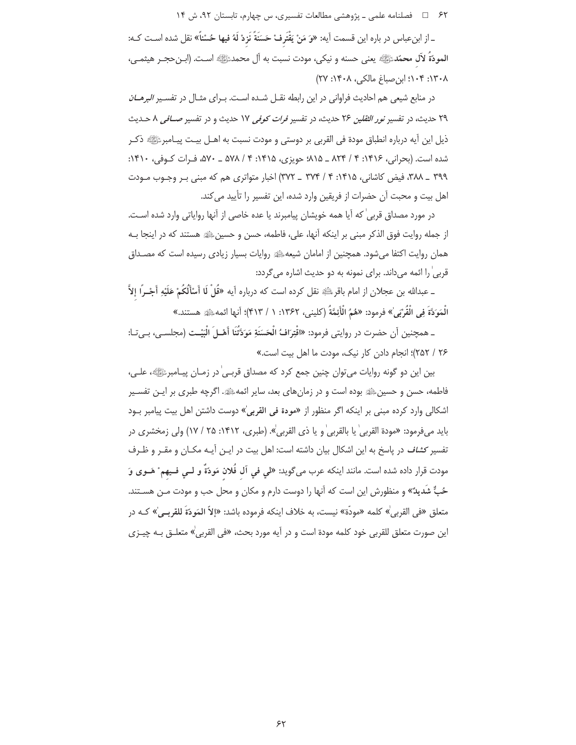۶۲ = 1 فصلنامه علمی ـ یژوهشی مطالعات تفسیری، س چهارم، تابستان ۹۲، ش ۱۴

ـ از ابنِ عباس در باره اين قسمت أيه: «وَ مَنْ يَقْتَرِفْ حَسَنَةً نَزِدْ لَهُ فيها حُسْناً» نقل شده اسـت كـه: المودّةُ لآل محمّدﷺ يعني حسنه و نيكي، مودت نسبت به آل محمدﷺ است. (ابـنحجـر هيثمـي، ١٣٠٨: ١٠٤: ابن صباغ مالكي، ١٤٠٨: ٢٧)

در منابع شیعی هم احادیث فراوانی در این رابطه نقـل شـده اسـت. بـرای مثـال در تفسـیر *البرهــان* ٢٩ حديث، در تفسير *نور الثقلين ٢٤ حديث*، در تفسير *فرات كوفي ١٧ حديث و در تفسير صـــافي ٨ حــديث* ذيل اين آيه درباره انطباق مودة في القربي بر دوستي و مودت نسبت به اهــل بيـت پيــامبرﷺ ذكـر شده است. (بحرانی، ۱۴۱۶: ۴ / ۸۲۴ \_ ۱۸/۵؛ حویزی، ۱۴۱۵: ۴ / ۵۷۸ \_ ۵۷۰، فـرات کـوفی، ۱۴۱۰: ۳۹۹ \_ ۳۸۸، فیض کاشانی، ۱۴۱۵: ۴ / ۳۷۴ \_ ۳۷۲) اخبار متواتری هم که مبنی بـر وجـوب مـودت اهل بيت و محبت آن حضرات از فريقين وارد شده، اين تفسير را تأييد مي كند.

در مورد مصداق قربی ٰ که آیا همه خویشان پیامبرند یا عده خاصی از آنها روایاتی وارد شده اسـت. از جمله روايت فوق الذكر مبنى بر اينكه آنها، على، فاطمه، حسن و حسينﷺ هستند كه در اينجا بـه همان روایت اکتفا می شود. همچنین از امامان شیعهﷺ روایات بسیار زیادی رسیده است که مصـداق قربی را ائمه میداند. برای نمونه به دو حدیث اشاره می گردد:

ـ عبدالله بن عجلان از امام باقرﷺ نقل کرده است که درباره آیه «قُلْ لَا أَسْأَلُكُمْ عَلَيْهِ أَجْــرًا إلاَّ الْمَوَدَّةَ فِي الْقُرْبَىٰ» فرمود: «هُمُ الْأَئِمَّةُ (كليني، ١٣۶٢: ١ / ۴١٣)؛ أنها ائمهﷺ هستند.»

ـ همچنين أن حضرت در روايتي فرمود: «اقْتِرَافُ الْحَسَنَةِ مَوَدَّتُنَا أَهْـلَ الْبَيْـت (مجلسـي، بـي تـا: ۲۶ / ۲۵۲)؛ انجام دادن کار نیک، مودت ما اهل بیت است.»

بین این دو گونه روایات می¤وان چنین جمع کرد که مصداق قربـیٰ در زمـان پیـامبرﷺ، علـی، فاطمه، حسن و حسینﷺ بوده است و در زمانهای بعد، سایر ائمهﷺ. اگرچه طبری بر ایـن تفسـیر اشكالي وارد كرده مبنى بر اينكه اگر منظور از «مودة في القربي<sup>»</sup> دوست داشتن اهل بيت پيامبر بـود بايد ميفرمود: «مودة القربي' يا بالقربي' و يا ذي القربي'». (طبري، ١۴١٢: ٢۵ / ١٧) ولي زمخشري در تفسیر *کشاف* در پاسخ به این اشکال بیان داشته است: اهل بیت در ایـن آیـه مکـان و مقـر و ظـرف مودت قرار داده شده است. مانند اينكه عرب مي گويد: «لي في آل فُلان مَودّةٌ و لــي فــيهم° هَــوي وَ حُبٌّ شُديدٌ» و منظورش اين است كه آنها را دوست دارم و مكان و محل حب و مودت مـن هسـتند. متعلق «في القربي<sup>'</sup>» كلمه «مودّة» نيست، به خلاف اينكه فرموده باشد: «إلاّ المَودّةَ للقربـي'» كـه در اين صورت متعلق للقربي خود كلمه مودة است و در آيه مورد بحث، «في القربيٰ» متعلــق بــه چيــزي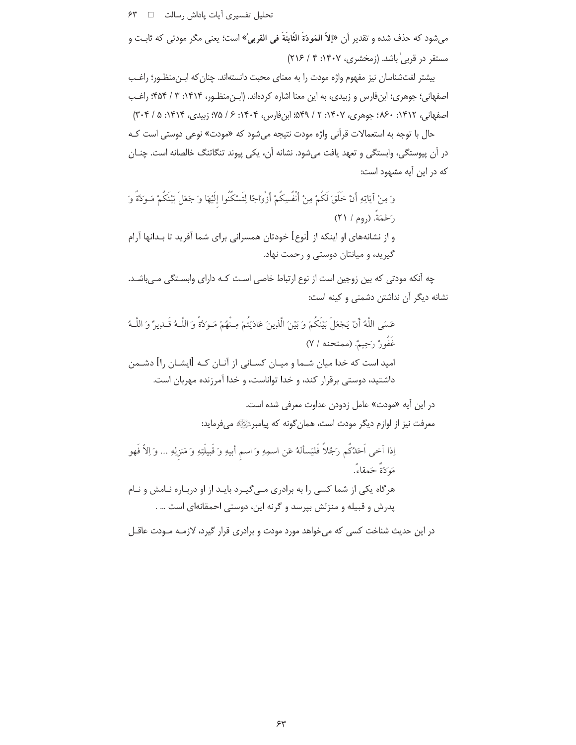تحليل تفسيري آيات پاداش رسالت □ ۶٣

مي شود كه حذف شده و تقدير أن «إلاّ المَودّةَ الثّابتَةَ في القربيٰ» است؛ يعني مگر مودتي كه ثابـت و مستقر در قربی باشد. (زمخشری، ۱۴۰۷: ۲ / ۲۱۶)

بیشتر لغتشناسان نیز مفهوم واژه مودت را به معنای محبت دانستهاند. چنان که ابـن منظـور؛ راغـب اصفهانی؛ جوهری؛ ابنفارس و زبیدی، به این معنا اشاره کردهاند. (ابن منظـور، ۱۴۱۴: ۳ / ۴۵۴؛ راغـب اصفهاني، ١۴١٢: ٨۶٠؛ جوهري، ١۴٠٧: ٢ / ٤٥٩؛ ابن فارس، ١۴٠۴: ۶ / ٧۵؛ زييدي، ١۴١۴: ۵ / ٣٠۴) حال با توجه به استعمالات قرآني واژه مودت نتيجه مي شود كه «مودت» نوعي دوستي است كـه در آن پیوستگی، وابستگی و تعهد یافت میشود. نشانه آن، یکی پیوند تنگاتنگ خالصانه است. چنـان که در این آیه مشهود است:

وَ مِنْ آيَاتِهِ أَنْ خَلَقَ لَكُمْ مِنْ أَنْفُسِكُمْ أَزْوَاجًا لِتَسْكُنُوا إلَيْهَا وَ جَعَلَ بَيْنَكُمْ مَـوكَةً وَ رَحْمَةَ. (روم / ٢١) و از نشانههای او اینکه از [نوع] خودتان همسرانی برای شما آفرید تا بـدانها آرام گیرید، و میانتان دوستی و رحمت نهاد.

چه آنکه مودتی که بین زوجین است از نوع ارتباط خاصی است کـه دارای وابسـتگی مـیباشـد. نشانه دیگر آن نداشتن دشمنی و کینه است:

عَسَى اللَّهُ أَنْ يَجْعَلَ بَيْنَكُمْ وَ بَيْنَ الَّذِينَ عَادَيْتُمْ مِـنْهُمْ مَـوَدَّةً وَ اللَّـهُ قَـدِيرٌ وَ اللَّـهُ غَفُونٌ رَحِيمٌ. (ممتحنه / ٧) امید است که خدا میان شــما و میــان کســانی از آنــان کــه [ایشــان را] دشــمن داشتید، دوستی برقرار کند، و خدا تواناست، و خدا آمرزنده مهربان است.

> در این آیه «مودت» عامل زدودن عداوت معرفی شده است. معرفت نیز از لوازم دیگر مودت است، همان گونه که پیامبرﷺ میفرماید:

اِذا آخى اَحَدُكُم رَجُلاً فَليَسألهُ عَن اسمِهِ وَ اسم أبيهِ وَ قَبيلَتِهِ وَ مَنزلِهِ … وَ اِلاّ فَهو مَهَ َدَةٌ حَمقاءُ. هرگاه یکی از شما کسی را به برادری مے گیرد بایـد از او دربـاره نـامش و نـام پدرش و قبیله و منزلش بپرسد و گرنه این، دوستی احمقانهای است … .

در این حدیث شناخت کسی که میخواهد مورد مودت و برادری قرار گیرد، لازمـه مـودت عاقـل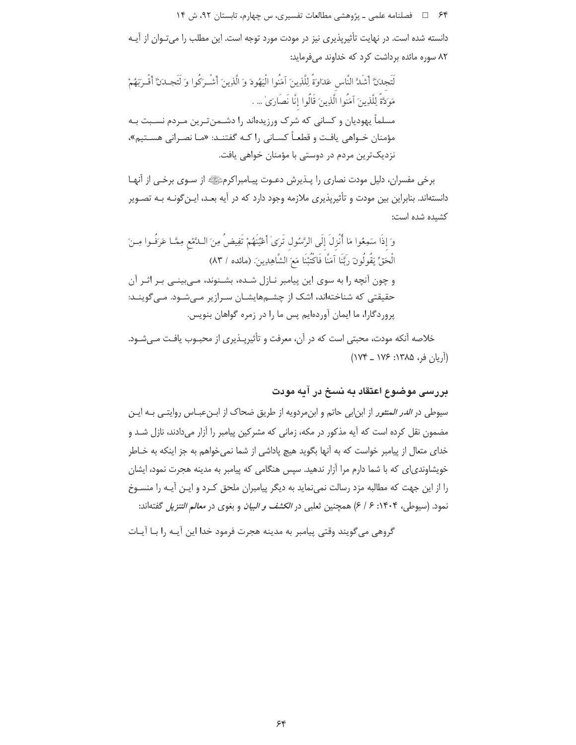۶۴ = د فصلنامه علمي ـ پژوهشي مطالعات تفسيري، س چهارم، تابستان ٩٢، ش ١۴

دانسته شده است. در نهایت تأثیرپذیری نیز در مودت مورد توجه است. این مطلب را میتوان از آیـه ٨٢ سوره مائده برداشت كرد كه خداوند مى فرمايد:

لَتَجدنَّ أَشَدَّ النَّاس عَدَاوَةً لِلَّذِينَ آمَنُوا الْيَهُودَ وَ الَّذِينَ أَشْـرَكُوا وَ لَتَجـدنَّ أَقْـربَهُمْ مَوَدَّةً لِلَّذِينَ آمَنُوا الَّذِينَ قَالُوا إنَّا نَصَارَىٰ … . مسلماً یهودیان و کسانی که شرک ورزیدهاند را دشـمنترین مـردم نسـبت بـه مؤمنان خــواهي يافــت و قطعــاً كســاني ,ا كــه گفتنــد: «مــا نصــراني هســتيم»، نزدیکترین مردم در دوستی با مؤمنان خواهی یافت.

برخی مفسران، دلیل مودت نصاری را پــذیرش دعــوت پیــامبراکرمﷺ از ســوی برخــی از آنهــا دانستهاند. بنابراین بین مودت و تأثیرپذیری ملازمه وجود دارد که در آیه بعـد، ایـن5ونـه بـه تصـویر كشىدە شدە است:

وَ إذَا سَمِعُوا مَا أُنْزِلَ إِلَى الرَّسُول تَرَىٰ أَعْيُنَهُمْ تَفِيضُ مِنَ اللَّمْعِ مِمَّـا عَرَفُـوا مِـنَ الْحَقِّ يَقُولُونَ رَبَّنَا آمَنَّا فَاكْتُبْنَا مَعَ الشَّاهِدِينَ. (مائده / ٨٣) و چون آنچه را به سوی این پیامبر نـازل شـده، بشـنوند، مـیبینـی بـر اثـر آن حقیقتی که شناختهاند، اشک از چشمهایشان سرازیر مے شود. مے گوینـد: پروردگارا، ما ایمان آوردهایم پس ما را در زمره گواهان بنویس.

خلاصه آنکه مودت، محبتی است که در آن، معرفت و تأثیرپـذیری از محبـوب یافـت مـیشـود. (اَرِيان فر، ۱۳۸۵: ۱۷۶ ـ ۱۷۴)

### بررسی موضوع اعتقاد به نسخ در آیه مودت

سیوطی در *الدر المنثور* از ابنابی حاتم و ابنمردویه از طریق ضحاک از ابـنعبـاس روایتـی بـه ایـن مضمون نقل کرده است که آیه مذکور در مکه، زمانی که مشرکین پیامبر را آزار میدادند، نازل شد و خدای متعال از پیامبر خواست که به آنها بگوید هیچ یاداشی از شما نمی خواهم به جز اینکه به خـاطر خویشاوندی|ی که با شما دارم مرا آزار ندهید. سپس هنگامی که پیامبر به مدینه هجرت نمود، ایشان را از این جهت که مطالبه مزد رسالت نمی نماید به دیگر پیامبران ملحق کـرد و ایـن آیـه را منسـوخ نمود. (سیوطی، ۱۴۰۴: ۶ / ۶) همچنین ثعلبی در *الکشف و البیان* و بغوی در *معالم التنزیل* گفته|ند:

گروهي مي گويند وقتي پيامبر به مدينه هجرت فرمود خدا اين آيــه را بــا آيــات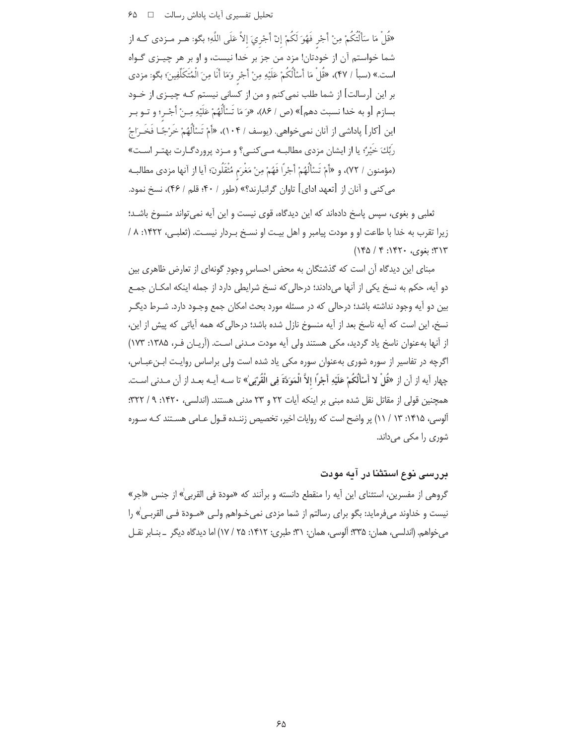«قُلْ مَا سَأَلْتُكُمْ مِنْ أَجْرِ فَهُوَ لَكُمْ إِنْ أَجْرِيَ إِلاَّ عَلَى اللَّهِ؛ بكو: هـر مـزدى كـه از شما خواستم آن از خودتان! مزد من جز بر خدا نیست، و او بر هر چیـزی گـواه است.» (سبأ / ۴۷)، «قُلْ مَا أَسْأَلُكُمْ عَلَيْهِ مِنْ أَجْرِ وَمَا أَنَا مِنَ الْمُتَكَلِّفِينَ؛ بكو: مزدي بر این [رسالت] از شما طلب نمیکنم و من از کسانی نیستم کـه چیــزی از خــود بسازم [و به خدا نسبت دهم]» (ص / ٨۶)، «وَ مَا تَسْأَلُهُمْ عَلَيْهِ مِـنْ أَجْـر؛ و تــو بــر اين [كار] پاداشي از آنان نميخواهي. (يوسف / ١٠۴)، «أَمْ تَسْأَلُهُمْ خَرْجًـا فَخَـرَاجُ رِبِّكَ خَيْرٌ ً، يا از ايشان مزدي مطالبـه مـي كنـي؟ و مـزد پروردگـارت بهتـر اسـت» (مؤمنون / ٧٢)، و «أَمْ تَسْأَلُهُمْ أَجْراً فَهُمْ مِنْ مَغْرَم مُتْقَلُونَ؛ آيا از آنها مزدي مطالبـه می کنی و آنان از [تعهد ادای] تاوان گرانبارند؟» (طور / ۴۰؛ قلم / ۴۶)، نسخ نمود.

ثعلبی و بغوی، سپس پاسخ دادهاند که این دیدگاه، قوی نیست و این آیه نمی تواند منسوخ باشـد؛ زيرا تقرب به خدا با طاعت او و مودت پيامبر و اهل بيت او نسخ بـردار نيست. (ثعلبـي، ١۴۲۲: ٨ /  $(140 / 9 : 197 - 294)$  بغوی، ۱۴۲۰:

مبنای این دیدگاه آن است که گذشتگان به محض احساس وجود گونهای از تعارض ظاهری بین دو آیه، حکم به نسخ یکی از آنها میدادند؛ درحالی که نسخ شرایطی دارد از جمله اینکه امکـان جمـع بین دو آیه وجود نداشته باشد؛ درحالی که در مسئله مورد بحث امکان جمع وجـود دارد. شـرط دیگـر نسخ، این است که آیه ناسخ بعد از آیه منسوخ نازل شده باشد؛ درحالی که همه آیاتی که پیش از این، از آنها بهعنوان ناسخ یاد گردید، مکی هستند ولی آیه مودت مـدنی اسـت. (آریـان فـر، ۱۳۸۵: ۱۷۳) اگرچه در تفاسیر از سوره شوری بهعنوان سوره مکی یاد شده است ولی براساس روایت ابـنعبـاس، چهار أيه از أن از «قُلْ لا أَسْأَلُكُمْ عَلَيْهِ أَجْرًا إلاَّ الْمَوَدَّةَ فِي الْقُرْبَىٰ» تا سـه أيـه بعـد از أن مـدنى اسـت. همچنین قولی از مقاتل نقل شده مبنی بر اینکه آیات ۲۲ و ۲۳ مدنی هستند. (اندلسی، ۱۴۲۰: ۹/ ۳۲۲: آلوسی، ۱۴۱۵: ۱۳/ ۱۱) پر واضح است که روایات اخیر، تخصیص زننـده قـول عـامی هسـتند کـه سـوره شوری را مکی میداند.

# بررسی نوع استثنا در آبه مودت

گروهی از مفسرین، استثنای این آیه را منقطع دانسته و برآنند که «مودة فی القربیٰ» از جنس «اجر» نیست و خداوند میفرماید: بگو برای رسالتم از شما مزدی نمیخـواهم ولـی «مـودة فـی القربـم)» را مي خواهم. (اندلسي، همان: ٣٣۵: اَلوسي، همان: ٣١: طبري: ١٤١٢: ٢۵ / ١٧) اما ديدگاه ديگر \_ بنـابر نقـل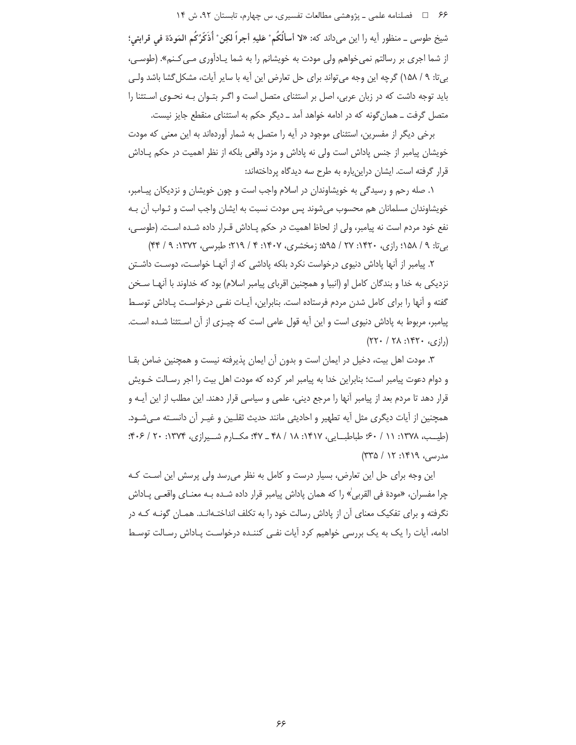۶۶ = 1 فصلنامه علمی ـ یژوهشی مطالعات تفسیری، س چهارم، تابستان ۹۲، ش ۱۴

شيخ طوسي \_ منظور آيه را اين ميداند كه: «لا أسألُكُم ْ عَليهِ أجراً لكِن ْ أُذَكِّرُكُم المَودّة في قرابتي؛ از شما اجری بر رسالتم نمی خواهم ولی مودت به خویشانم را به شما یـادآوری مـی *کـ*نم». (طوسـی، بيتا: ٩ / ١۵٨) گرچه اين وجه مي تواند براي حل تعارض اين آيه با ساير آيات، مشكل گشا باشد ولي باید توجه داشت که در زبان عربی، اصل بر استثنای متصل است و اگـر بتـوان بـه نحـوی اسـتثنا را متصل گرفت ــ همان گونه که در ادامه خواهد آمد ــ دیگر حکم به استثنای منقطع جایز نیست.

برخی دیگر از مفسرین، استثنای موجود در آیه را متصل به شمار آوردهاند به این معنی که مودت خویشان پیامبر از جنس یاداش است ولی نه یاداش و مزد واقعی بلکه از نظر اهمیت در حکم پــاداش قرار گرفته است. ایشان دراینباره به طرح سه دیدگاه پرداختهاند:

۱. صله رحم و رسیدگی به خویشاوندان در اسلام واجب است و چون خویشان و نزدیکان پیـامبر، خویشاوندان مسلمانان هم محسوب میشوند پس مودت نسبت به ایشان واجب است و ثـواب آن بـه نفع خود مردم است نه پیامبر، ولی از لحاظ اهمیت در حکم پـاداش قـرار داده شـده اسـت. (طوسـی، بے تا: ۹ / ۱۵۸؟ رازی، ۱۴۲۰: ۲۷ / ۱۵۹۵؛ زمخشری، ۲۰۷ / ۲۹، ۲۱۹؛ طبرسی، ۱۳۷۲: ۹ / ۴۴)

۲. پیامبر از اُنها یاداش دنیوی درخواست نکرد بلکه یاداشی که از اَنهـا خواسـت، دوسـت داشـتن نزدیکی به خدا و بندگان کامل او (انبیا و همچنین اقربای پیامبر اسلام) بود که خداوند با آنهـا سـخن گفته و آنها را برای کامل شدن مردم فرستاده است. بنابراین، آیـات نفـی درخواسـت پـاداش توسـط پیامبر، مربوط به یاداش دنیوی است و این آیه قول عامی است که چیـزی از آن اسـتثنا شـده اسـت.  $(55 \cdot 75 \cdot 155 \cdot 155 \cdot 155)$ 

۳. مودت اهل بیت، دخیل در ایمان است و بدون آن ایمان پذیرفته نیست و همچنین ضامن بقـا و دوام دعوت پیامبر است؛ بنابراین خدا به پیامبر امر کرده که مودت اهل بیت را اجر رسـالت خــویش قرار دهد تا مردم بعد از پیامبر اًنها را مرجع دینی، علمی و سیاسی قرار دهند. این مطلب از این اًیــه و همچنین از آیات دیگری مثل آیه تطهیر و احادیثی مانند حدیث ثقلـین و غیـر آن دانسـته مـیشـود. (طیب، ۱۳۷۸: ۶۰ / ۶۰؛ طباطبایی، ۱۴۱۷: ۱۸ / ۴۸ \_ ۴۷؛ مکسارم شیرازی، ۱۳۷۴: ۲۰ / ۴۰۶: مدرسی، ۱۴۱۹: ۱۲ / ۳۳۵)

این وجه برای حل این تعارض، بسیار درست و کامل به نظر می رسد ولی پرسش این است کـه چرا مفسران، «مودة في القربي» را كه همان پاداش پيامبر قرار داده شـده بـه معنــاي واقعــي پــاداش نگرفته و برای تفکیک معنای آن از یاداش رسالت خود را به تکلف انداختـهانـد. همـان گونـه کـه در ادامه، آیات را یک به یک بررسی خواهیم کرد آیات نفـی کننـده درخواسـت پـاداش رسـالت توسـط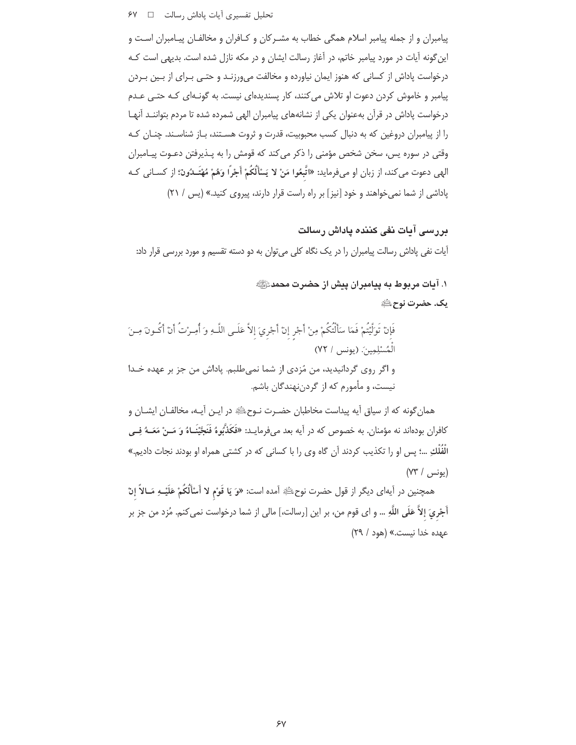#### 

پیامبران و از جمله پیامبر اسلام همگی خطاب به مشـرکان و کـافران و مخالفـان پیـامبران اسـت و این گونه آیات در مورد پیامبر خاتم، در آغاز رسالت ایشان و در مکه نازل شده است. بدیهی است کـه درخواست پاداش از کسانی که هنوز ایمان نیاورده و مخالفت میورزنـد و حتـی بـرای از بـین بـردن پیامبر و خاموش کردن دعوت او تلاش می کنند، کار پسندیدهای نیست. به گونـهای کـه حتـی عـدم درخواست پاداش در قرآن بهعنوان یکی از نشانههای پیامبران الهی شمرده شده تا مردم بتواننـد آنهـا را از پیامبران دروغین که به دنبال کسب محبوبیت، قدرت و ثروت هستند، بـاز شناسـند. چنـان کـه وقتی در سوره پس، سخن شخص مؤمنی را ذکر می کند که قومش را به پـذیرفتن دعـوت پیـامبران الهي دعوت مي كند، از زبان او مي فرمايد: «اتَّبِعُوا مَنْ لا يَسْأَلُكُمْ أَجْرًا وَهُمْ مُهْتَــٰدُونَ؛ از كسـاني كـه پاداشی از شما نمی خواهند و خود [نیز] بر راه راست قرار دارند، پیروی کنید.» (پس / ۲۱)

بررسی آبات نفی کننده یاداش رسالت آیات نفی پاداش رسالت پیامبران را در یک نگاه کلی می توان به دو دسته تقسیم و مورد بررسی قرار داد:

> ١. آيات مربوط به ييامبران ييش از حضرت محمدﷺ يك. حضرت نوح ﷺ

فَإِنْ تَوَلَّيْتُمْ فَمَا سَأَلْتُكُمْ مِنْ أَجْرِ إِنْ أَجْرِيَ إِلاَّ عَلَـى اللَّـهِ وَ أُمِـرْتُ أَنْ أَكُـونَ مِـنَ الْمُسْلِمِينَ. (يونس / ٧٢) و اگر روی گردانیدید، من مُزدی از شما نمی طلبم. یاداش من جز بر عهده خـدا نیست، و مأمورم که از گردننهندگان باشم.

همان گونه که از سیاق آیه پیداست مخاطبان حضـرت نـوحﷺ در ایـن آیـه، مخالفـان ایشــان و كافران بودهاند نه مؤمنان. به خصوص كه در آيه بعد ميفرمايــد: «فَكَذَّبُوهُ فَنَجَّيْنَــاهُ وَ مَــنْ مَعَــهُ فِــي الْفُلْكِ …؛ پس او را تكذيب كردند آن گاه وي را با كساني كه در كشتي همراه او بودند نجات داديم.»  $(YY / \mu)$ يونس

همچنین در آیهای دیگر از قول حضرت نوحﷺ آمده است: «وَ يَا قَوْمِ لا أَسْأَلْكُمْ عَلَيْــهِ مَــالاً إنْ أَجْرِيَ إِلاَّ عَلَى اللَّهِ … و اي قوم من، بر اين [رسالت،] مالي از شما درخواست نمي كنم. مُزد من جز بر عهده خدا نيست.» (هود / ٢٩)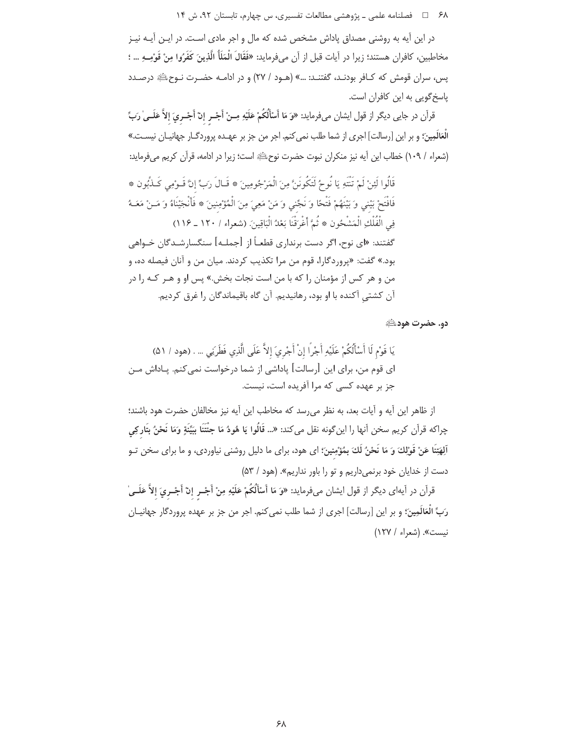۶۸ = هطلنامه علمی ـ پژوهشی مطالعات تفسیری، س چهارم، تابستان ۹۲، ش ۱۴

در این آیه به روشنی مصداق پاداش مشخص شده که مال و اجر مادی است. در ایـن آیــه نیـز مخاطبين، كافران هستند؛ زيرا در أيات قبل از أن ميفرمايد: «فَقَالَ الْمَلَأُ الَّذِينَ كَفَرُوا مِنْ قَوْمِـهِ … ؛ پس، سران قومش که کـافر بودنـد، گفتنـد: …» (هـود / ۲۷) و در ادامـه حضـرت نـوحﷺ درصـدد یاسخ گویی به این کافران است.

قرأن در جايي ديگر از قول ايشان ميفرمايد: «وَ مَا أَسْأَلْكُمْ عَلَيْهِ مِـنْ أَجْـر إنْ أَجْـريَ إلاَّ عَلَــيٰ رَبِّ الْعَلَلَمِينَ؛ و بر این [رسالت] اجری از شما طلب نمی کنم. اجر من جز بر عهـده پروردگــار جهانیــان نیســت.» (شعراء / ١٠٩) خطاب اين آيه نيز منكران نبوت حضرت نوح ﷺ است؛ زيرا در ادامه، قرآن كريم مي فرمايد:

قَالُوا لَئِنْ لَمْ تَنْتَهِ يَا نُوحُ لَتَكُونَنَّ مِنَ الْمَرْجُومِينَ ۞ قَـالَ رَبٍّ إِنَّ قَـوْمِي كَـذَّبُون ۞ فَافْتَحْ بَيْنِي وَ بَيْنَهُمْ فَتْحًا وَ نَجِّني وَ مَنْ مَعِيَ مِنَ الْمُؤْمِنِينَ ۞ فَأَنْجَيْنَاهُ وَ مَـنْ مَعَـهُ فِي الْفُلْكِ الْمَشْحُونِ ۞ ثُمَّ أَغْرَقْنَا بَعْدُ الْبَاقِينَ. (شعراء / ١٢٠ ـ ١١۶) گفتند: «ای نوح، اگر دست برنداری قطعـاً از [جملـه] سنگسارشــدگان خــواهی بود.» گفت: «پروردگارا، قوم من مرا تكذيب كردند. ميان من و آنان فيصله ده، و من و هر کس از مؤمنان را که با من است نجات بخش.» پس او و هـر کـه را در آن کشتی آکنده با او بود، رهانیدیم. آن گاه باقیماندگان را غرق کردیم.

دو. حضرت هود الله

يَا قَوْمٍ لَا أَسْأَلُكُمْ عَلَيْهِ أَجْرًا إِنْ أَجْرِيَ إِلاَّ عَلَى الَّذِي فَطَرَنِى … . (هود / ۵۱) ای قوم من، برای این [رسالت] پاداشی از شما درخواست نمی کنم. پـاداش مــن جز بر عهده کسی که مرا آفریده است، نیست.

از ظاهر این آیه و آیات بعد، به نظر می رسد که مخاطب این آیه نیز مخالفان حضرت هود باشند؛ چراکه قرآن کریم سخن اّنها را اینگونه نقل میکند: «... قَالُوا یَا هُودُ مَا جِئْتَنَا بِبَیِّنَةٍ وَمَا نَحْنُ بِتَاركِی اَلِهَتِنَا عَنْ قَوْلِكَ وَ مَا نَحْنُ لَكَ بِمُؤْمِنِينَ؛ اي هود، براي ما دليل روشني نياوردي، و ما براي سخن تـو دست از خدایان خود برنمی داریم و تو را باور نداریم». (هود / ۵۳)

قرأن در أيهاي ديگر از قول ايشان ميفرمايد: «وَ مَا أَسْأَلُكُمْ عَلَيْهِ مِنْ أَجْــر إنْ أَجْــريَ إلاَّ عَلَــي رَبِّ الْعَالَمِينَ؛ و بر اين [رسالت] اجرى از شما طلب نمى كنم. اجر من جز بر عهده پروردگار جهانيــان نيست». (شعراء / ١٢٧)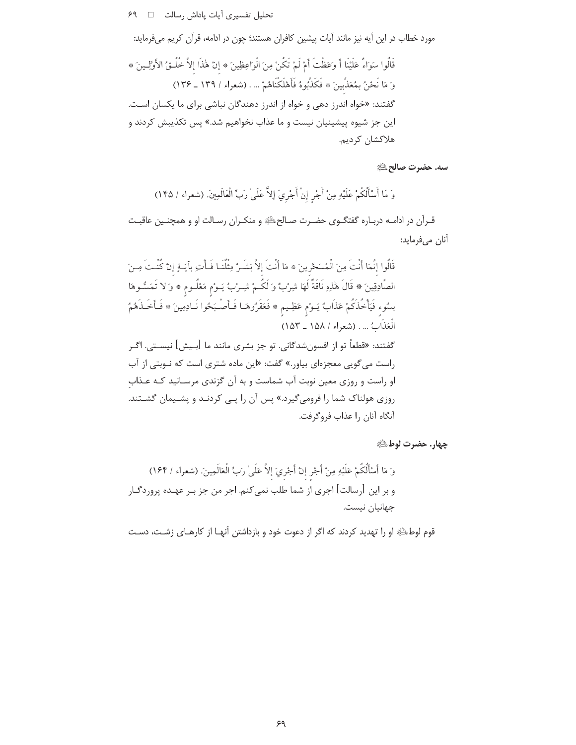تحليل تفسيري آيات پاداش رسالت □ ۶۹

مورد خطاب در این آیه نیز مانند آیات پیشین کافران هستند؛ چون در ادامه، قرآن کریم میفرماید:

قَالُوا سَوَاءٌ عَلَيْنَا أَ وَعَظْتَ أَمْ لَمْ تَكُنْ مِنَ الْوَاعِظِينَ ۞ إنْ هٰذَا إلاَّ خُلُـقُ الأوَّلِـينَ ۞ وَ مَا نَحْنُ بِمُعَذِّبِينَ ۞ فَكَذَّبُوهُ فَأَهْلَكْنَاهُمْ … . (شعراء / ١٣٩ ـ ١٣۶) گفتند: «خواه اندرز دهی و خواه از اندرز دهندگان نباشی برای ما یکسان اسـت. این جز شیوه پیشینیان نیست و ما عذاب نخواهیم شد.» پس تکذیبش کردند و هلاكشان كرديم.

سه. حضرت صالحﷺ

وَ مَا أَسْأَلُكُمْ عَلَيْهِ مِنْ أَجْرِ إِنْ أَجْرِيَ إِلاَّ عَلَىٰ رَبِّ الْعَالَمِينَ. (شعراء / ١۴۵)

قـرأن در ادامـه دربـاره گفتگـوي حضـرت صـالحﷺ و منكـران رسـالت او و همچنـين عاقبـت آنان مىفرمايد:

قَالُوا إِنَّمَا أَنْتَ مِنَ الْمُسَحَّرِينَ ۞ مَا أَنْتَ إِلاَّ بَشَـرٌ مِثْلُنَـا فَـأْتِ بِآيَـةٍ إِنْ كُنْـتَ مِـنَ الصَّادِقِينَ ۞ قَالَ هَٰذِهِ نَاقَةٌ لَهَا شِرْبٌ وَ لَكُمْ شِـرْبُ يَـوْم مَعْلُـوم ۞ وَ لا تَمَسُّـوهَا بسُوء فَيَأْخُذَكُمْ عَذَابٌ يَـوْم عَظِـيم \* فَعَفَرُوهَـا فَـأَصْـبَحُوا نَـادِمِينَ \* فَـأَخَـذَهُمُ الْعَذَابُ ... . (شعراء / ١٥٨ \_ ١٥٣) گفتند: «قطعاً تو از افسونِشدگانی. تو جز بشری مانند ما [بـیش] نیســتی. اگـر راست می گویی معجزهای بیاور.» گفت: «این ماده شتری است که نــوبتی از آب او راست و روزی معین نوبت آب شماست و به آن گزندی مرسـانید کـه عـذاب روزی هولناک شما را فرومیگیرد.» پس آن را پـی کردنـد و پشـیمان گشـتند. آنگاه آنان ,ا عذاب فروگرفت.

جهار. حضرت لوط

وَ مَا أَسْأَلُكُمْ عَلَيْهِ مِنْ أَجْرِ إِنَّ أَجْرِيَ إِلاَّ عَلَىٰ رَبِّ الْعَالَمِينَ. (شعراء / ١۶۴) و بر این [رسالت] اجری از شما طلب نمیکنم. اجر من جز بـر عهـده پروردگـار جهانيان نيست.

قوم لوطﷺ او را تهدید کردند که اگر از دعوت خود و بازداشتن آنهـا از کارهـای زشـت، دسـت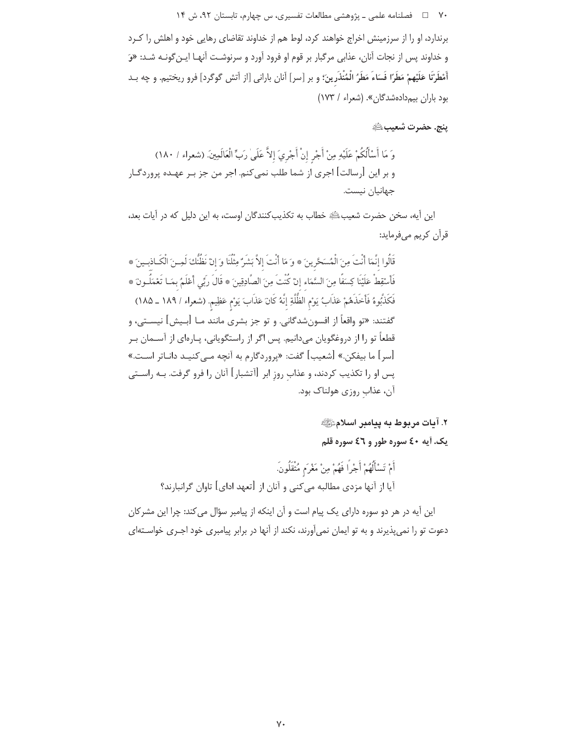۷۰ □ فصلنامه علمی ـ یژوهشی مطالعات تفسیری، س چهارم، تابستان ۹۲، ش ۱۴

برندارد، او را از سرزمینش اخراج خواهند کرد، لوط هم از خداوند تقاضای رهایی خود و اهلش را کـرد و خداوند پس از نجات آنان، عذابی مرگبار بر قوم او فرود آورد و سرنوشت آنهـا ايـن گونـه شـد: «وَ أَمْطَرْنَا عَلَيْهِمْ مَطَرًا فَسَاءَ مَطَرُ الْمُنْذَرِينَ؛ و بر [سر] أنان باراني [از أتش گوگرد] فرو ريختيم. و چه بـد بود باران بیم دادهشدگان». (شعراء / ١٧٣)

ينج. حضرت شعيبﷺ

این آیه، سخن حضرت شعیبﷺ خطاب به تکذیبکنندگان اوست، به این دلیل که در آیات بعد، قرآن كريم ميفرمايد:

قَالُوا إنَّمَا أَنْتَ مِنَ الْمُسَحَّرينَ \* وَ مَا أَنْتَ إلاَّ بَشَرٌ مِثْلُنَا وَ إنْ نَظُنُّكَ لَمِـنَ الْكَاذبـينَ \* فَأَسْقِطْ عَلَيْنَا كِسَفًا مِنَ السَّمَاء إنْ كُنْتَ مِنَ الصَّادِقِينَ ۞ قَالَ رَبِّي أَعْلَمُ بمَـا تَعْمَلُـونَ ۞ فَكَذَّبُوهُ فَأَخَذَهُمْ عَذَابٌ يَوْمِ الظُّلَّةِ إِنَّهُ كَانَ عَذَابَ يَوْمِ عَظِيمٍ. (شعراء / ١٨٩ \_ ١٨٥) گفتند: «تو واقعاً از افسونِشدگانی. و تو جز بشری مانند مــا [بــيش] نيســتي، و قطعاً تو را از دروغگویان میدانیم. پس اگر از راستگویانی، پـارەای از آســمان بـر [سر] ما بيفكن.» [شعيب] گفت: «پروردگارم به آنچه مـى كنيـد دانــاتر اسـت.» پس او را تکذیب کردند، و عذاب روز ابر [آتشبار] آنان را فرو گرفت. بـه راســتي آن، عذاب روزي هولناك بود.

٢. آيات مربوط به ييامبر اسلامﷺ

يک. آيه ٤٠ سوره طور و ٤٦ سوره قلم

أَمْ تَسْأَلُهُمْ أَجْرًا فَهُمْ مِنْ مَغْرَم مُثْقَلُونَ. آیا از آنها مزدی مطالبه میکنی و آنان از [تعهد ادای] تاوان گرانبارند؟

این آیه در هر دو سوره دارای یک پیام است و آن اینکه از پیامبر سؤال می کند: چرا این مشرکان دعوت تو را نمی پذیرند و به تو ایمان نمی آورند، نکند از آنها در برابر پیامبری خود اجـری خواسـتهای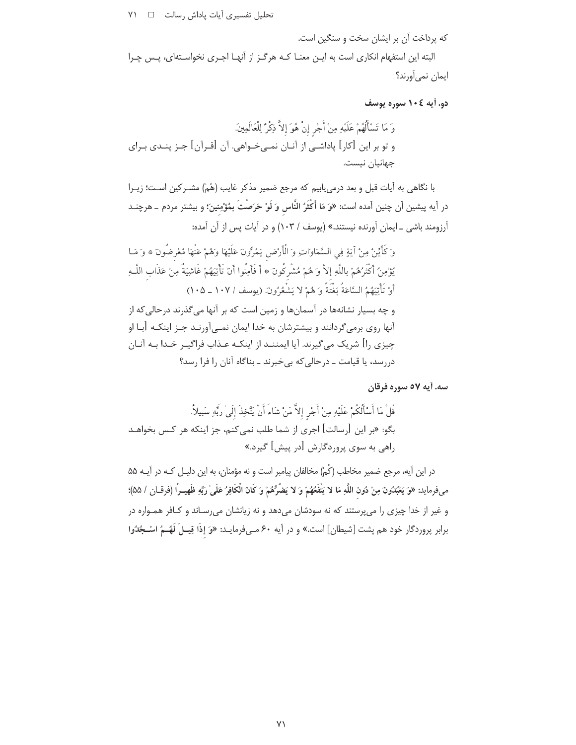تحلیل تفسیری آیات پاداش رسالت [ | ٧١

كه پرداخت آن بر ایشان سخت و سنگین است.

البته این استفهام انکاری است به ایـن معنـا کـه هرگـز از آنهـا اجـری نخواسـتهای، پـس چـرا ایمان نمی آورند؟

دو. آيه ١٠٤ سوره يوسف

وَ مَا تَسْأَلُهُمْ عَلَيْهِ مِنْ أَجْرِ إِنْ هُوَ إِلاَّ ذِكْرٌ لِلْعَالَمِينَ. و تو بر این [کار] پاداشـی از آنـان نمـیخـواهی. آن [قـرآن] جـز پنــدی بـرای جهانيان نيست.

با نگاهی به آیات قبل و بعد درمی،ابیم که مرجع ضمیر مذکر غایب (هُمْ) مشـرکین اسـت؛ زیـرا در آيه پيشين آن چنين آمده است: «وَ مَا أَكْثَرُ النَّاس وَ لَوْ حَرَصْتَ بِمُؤْمِنِينَ؛ و بيشتر مردم \_ هرچنــد آرزومند باشی \_ ایمان آورنده نیستند.» (یوسف / ۱۰۳) و در آیات پس از آن آمده:

وَ كَأَيِّنْ مِنْ آيَةٍ فِي السَّمَاوَاتِ وَ الْأَرْضِ يَمُرُّونَ عَلَيْهَا وَهُمْ عَنْهَا مُعْرِضُونَ ۞ وَ مَـا يُؤْمِنُ أَكْثَرُهُمْ بِاللَّهِ إِلاَّ وَ هُمْ مُشْرِكُونَ ۞ أَ فَأَمِنُوا أَنْ تَأْتِيَهُمْ غَاشِيَةً مِنْ عَذَاب اللَّـهِ أَوْ تَأْتِيَهُمُ السَّاعَةُ بَغْتَةً وَ هُمْ لا يَشْعُرُونَ. (يوسف / ١٠٧ ـ ١٠٥) و چه بسیار نشانهها در آسمانها و زمین است که بر آنها می گذرند درحالی که از آنها روی برمیگردانند و بیشترشان به خدا ایمان نمـیآورنـد جـز اینکـه [بـا او چیزی را] شریک می گیرند. آیا ایمننـد از اینکـه عـذاب فراگیـر خـدا بـه آنـان دررسد، یا قیامت ــ درحالی که بی خبرند ــ بناگاه آنان را فرا رسد؟

سه. آیه ٥٧ سوره فرقان

در این آیه، مرجع ضمیر مخاطب (کُمْ) مخالفان پیامبر است و نه مؤمنان، به این دلیـل کـه در آیـه ۵۵ مىفرمايد: «وَ يَعْبُدُونَ مِنْ دُونِ اللَّهِ مَا لا يَنْفَعُهُمْ وَ لا يَضُرُّهُمْ وَ كَانَ الْكَافِرُ عَلَىٰ ربِّهِ ظَهيـرًا (فرقــان / ۵۵)؛ و غیر از خدا چیزی را میپرستند که نه سودشان میدهد و نه زیانشان میرسـاند و کـافر همـواره در برابر پروردگار خود هم پشت [شیطان] است.» و در آیه ۶۰ مـیفرمایـد: «وَ إذَا قِیــلَ لَهُــمُ اسْــجُدُوا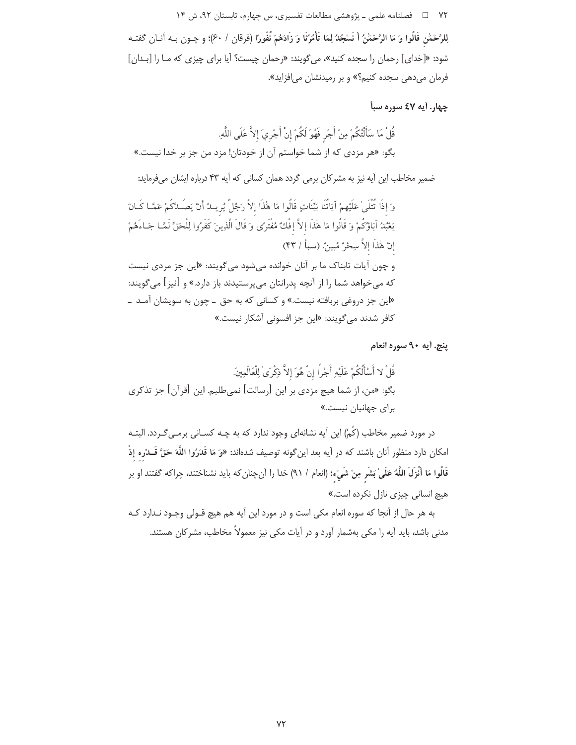لِلرَّحْمَٰنِ قَالُوا وَ مَا الرَّحْمَٰنُ أَ نَسْجُدُ لِمَا تَأْمُرُنَا وَ زَادَهُمْ نُفُورًا (فرقان / ۶۰)؛ و چـون بـه آنــان گفتــه شود: «[خدای] رحمان را سجده کنید»، میگویند: «رحمان چیست؟ آیا برای چیزی که ما را [بـدان] فرمان میدهی سجده کنیم؟» و بر رمیدنشان می افزاید».

چهار. آيه ٤٧ سوره سبأ

پنج. أيه ٩٠ سوره انعام

در مورد ضمیر مخاطب (کُمْ) این آیه نشانهای وجود ندارد که به چـه کســانی برمــیگــردد. البتــه امكان دارد منظور آنان باشند كه در آيه بعد اين¢ونه توصيف شدهاند: «وَ مَا قَدَرُوا اللَّهَ حَقَّ قَــدْره إذْ قَالُوا مَا أَنْزَلَ اللَّهُ عَلَىٰ بَشَرٍ مِنْ شَيْء؛ (انعام / ٩١) خدا را آنچنان كه بايد نشناختند، چراكه گفتند او بر هیچ انسانی چیزی نازل نکرده است.»

به هر حال از آنجا که سوره انعام مکی است و در مورد این آیه هم هیچ قـولی وجـود نـدارد کـه مدنی باشد، باید آیه را مکی بهشمار آورد و در آیات مکی نیز معمولاً مخاطب، مشرکان هستند.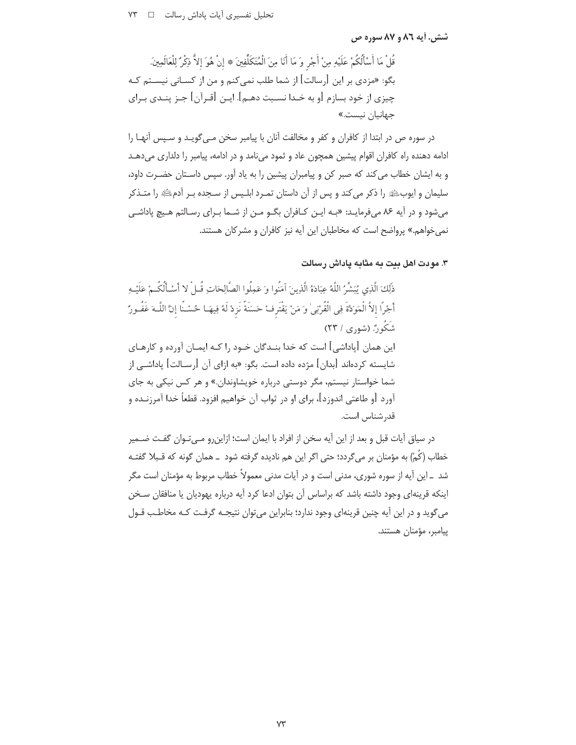### شش. آیه ۸۲ و ۸۷ سوره ص

قُلْ مَا أَسْأَلُكُمْ عَلَيْهِ مِنْ أَجْرِ وَ مَا أَنَا مِنَ الْمُتَكَلِّفِينَ ۞ إِنْ هُوَ إِلاَّ ذِكْرٌ لِلْعَالَمِينَ. .<br>بگو: «مزدی بر این [رسالت] از شما طلب نمی کنم و من از کسـانی نیسـتم کـه چیزی از خود بسازم [و به خـدا نسـبت دهــم]. ایــن [قــرآن] جــز پنــدی بــرای جهانيان نيست.»

در سوره ص در ابتدا از کافران و کفر و مخالفت آنان با پیامبر سخن مـی گویـد و سـپس آنهـا را ادامه دهنده راه کافران اقوام پیشین همچون عاد و ثمود می نامد و در ادامه، پیامبر را دلداری می دهـد و به ایشان خطاب می کند که صبر کن و پیامبران پیشین را به یاد آور. سپس داسـتان حضـرت داود، سلیمان و ایوبﷺ را ذکر میکند و پس از آن داستان تمـرد ابلـیس از سـجده بـر آدمﷺ را متـذکر می شود و در آیه ۸۶ می فرمایـد: «بـه ایـن کـافران بگـو مـن از شـما بـرای رسـالتم هـیچ یاداشـی نمی خواهم.» پرواضح است که مخاطبان این آیه نیز کافران و مشرکان هستند.

## ۳. مودت اهل بیت به مثابه پاداش رسالت

ذَٰلِكَ الَّذِي يُبَشِّرُ اللَّهُ عِبَادَهُ الَّذِينَ آمَنُوا وَ عَمِلُوا الصَّالِحَاتِ قُـلْ لا أَسْـأَلُكُـمْ عَلَيْـهِ أَجْرًا إلاَّ الْمَوَدَّةَ فِي الْقُرْبَىٰ وَ مَنْ يَقْتَرِفْ حَسَنَةً نَزِدْ لَهُ فِيهَـا حُسْـنًا إنَّ اللَّـهَ غَفُـورٌ شَکُونُ (شوری / ۲۳) این همان [پاداشی] است که خدا بنـدگان خـود ,ا کـه ایمـان آورده و کارهـای شابسته کردهاند [بدان] مژده داده است. بگو: «به ازای آن [رســالت] باداشــی از شما خواستار نیستم، مگر دوستی درباره خویشاوندان.» و هر کس نیکی به جای آورد [و طاعتي اندوزد]، براي او در ثواب آن خواهيم افزود. قطعاً خدا آمرزنــده و قدر شناس است.

در سیاق أیات قبل و بعد از این آیه سخن از افراد با ایمان است؛ ازاین٫رو مـیتـوان گفـت ضـمیر خطاب (کُمْ) به مؤمنان بر می گردد؛ حتی اگر این هم نادیده گرفته شود \_همان گونه که قـبلا گفتـه شد \_این آیه از سوره شوری، مدنی است و در آیات مدنی معمولاً خطاب مربوط به مؤمنان است مگر اینکه قرینهای وجود داشته باشد که براساس آن بتوان ادعا کرد آیه درباره یهودیان یا منافقان سـخن مي گويد و در اين آيه چنين قرينهاي وجود ندارد؛ بنابراين مي توان نتيجـه گرفـت كـه مخاطـب قـول ييامبر، مؤمنان هستند.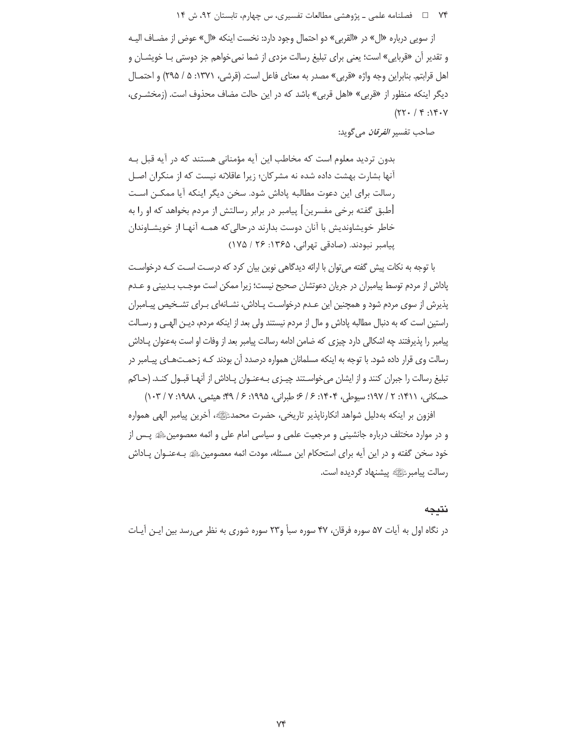۷۴ = د فصلنامه علمي ـ پژوهشي مطالعات تفسيري، س چهارم، تابستان ۹۲، ش ۱۴

از سويي درباره «ال» در «القربي» دو احتمال وجود دارد: نخست اينكه «ال» عوض از مضـاف اليـه و تقدیر أن «قربایی» است؛ یعنی برای تبلیغ رسالت مزدی از شما نمیخواهم جز دوستی بــا خویشــان و اهل قرابتم. بنابراین وجه واژه «قربی» مصدر به معنای فاعل است. (قرشی، ۱۳۷۱: ۵ / ۲۹۵) و احتمـال دیگر اینکه منظور از «قربی» «اهل قربی» باشد که در این حالت مضاف محذوف است. (زمخشـری،  $(77.79.19.19.77)$ 

صاحب تفسير *الفرقان* مي گويد:

بدون تردید معلوم است که مخاطب این آیه مؤمنانی هستند که در آیه قبل بـه آنها بشارت بهشت داده شده نه مشر کان؛ زیرا عاقلانه نیست که از منکران اصـل رسالت برای این دعوت مطالبه پاداش شود. سخن دیگر اینکه آیا ممکـن اسـت [طبق گفته برخی مفسرین] پیامبر در برابر رسالتش از مردم بخواهد که او را به خاطر خویشاوندیش با آنان دوست بدارند درحالی که همـه آنهـا از خویشـاوندان ییامبر نبودند. (صادقی تهرانی، ۱۳۶۵: ۲۶ / ۱۷۵)

با توجه به نکات پیش گفته می توان با ارائه دیدگاهی نوین بیان کرد که درست است کـه درخواسـت پاداش از مردم توسط پیامبران در جریان دعوتشان صحیح نیست؛ زیرا ممکن است موجب بـدبینی و عـدم پذیرش از سوی مردم شود و همچنین این عـدم درخواسـت پـاداش، نشـانهای بـرای تشـخیص پیـامبران راستین است که به دنبال مطالبه یاداش و مال از مردم نیستند ولی بعد از اینکه مردم، دیــز الهــی و رسـالت پیامبر را پذیرفتند چه اشکالی دارد چیزی که ضامن ادامه رسالت پیامبر بعد از وفات او است بهعنوان پـاداش رسالت وی قرار داده شود. با توجه به اینکه مسلمانان همواره درصدد آن بودند کـه زحمـتهـای پیـامبر در تبلیغ رسالت را جبران کنند و از ایشان می خواسـتند چیـزی بـهعنـوان پـاداش از آنهـا قبـول کنـد. (حـاکم حسكاني، ١٣١١: ٢ / ١٩٧: سبوطي، ١٤٠٣: ۶ / ۶: طبراني، ١٩٩۵: ۶ / ٩٩: هيثمي، ١٠٣/: ٧ / ١٠٣)

افزون بر اينكه بهدليل شواهد انكارناپذير تاريخي، حضرت محمدﷺ، آخرين پيامبر الهي همواره و در موارد مختلف درباره جانشینی و مرجعیت علمی و سیاسی امام علی و ائمه معصومینﷺ پـس از خود سخن گفته و در این آیه برای استحکام این مسئله، مودت ائمه معصومینﷺ بـهعنـوان پـاداش رسالت پيامبرﷺ پيشنهاد گرديده است.

نتيجه

در نگاه اول به آیات ۵۷ سوره فرقان، ۴۷ سوره سبأ و۲۳ سوره شوری به نظر می رسد بین ایـن آیـات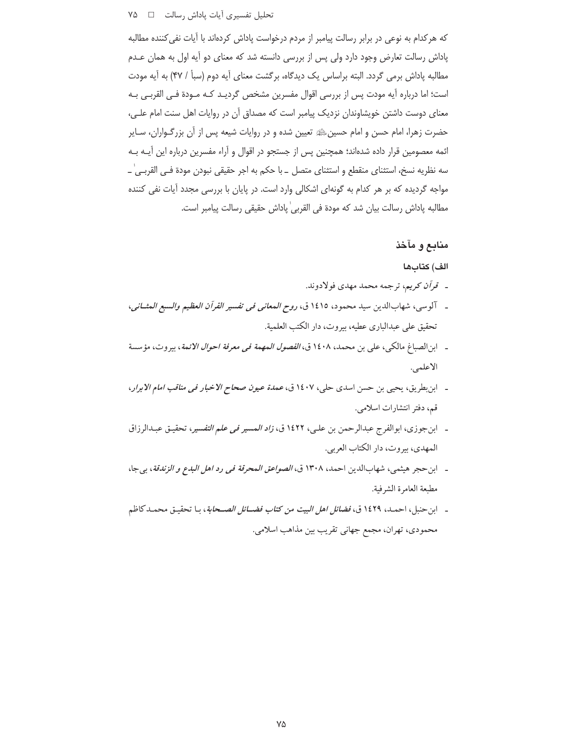#### تحلیل تفسیری آیات پاداش رسالت D X۵ D

كه هركدام به نوعي در برابر رسالت پيامبر از مردم درخواست پاداش كردهاند با آيات نفي كننده مطالبه پاداش رسالت تعارض وجود دارد ولی پس از بررسی دانسته شد که معنای دو آیه اول به همان عـدم مطالبه یاداش برمی گردد. البته براساس یک دیدگاه، برگشت معنای آیه دوم (سبأ / ۴۷) به آیه مودت است؛ اما درباره آیه مودت پس از بررسی اقوال مفسرین مشخص گردیـد کـه مـودة فـی القربـی بـه معنای دوست داشتن خویشاوندان نزدیک پیامبر است که مصداق آن در روایات اهل سنت امام علـی، حضرت زهرا، امام حسن و امام حسین،ﷺ تعیین شده و در روایات شیعه پس از آن بزرگـواران، سـایر ائمه معصومین قرار داده شدهاند؛ همچنین پس از جستجو در اقوال و آراء مفسرین درباره این آیــه بــه سه نظريه نسخ، استثناي منقطع و استثناي متصل \_ با حكم به اجر حقيقي نبودن مودة فـي القربـي ٰ \_ مواجه گردیده که بر هر کدام به گونهای اشکالی وارد است. در پایان با بررسی مجدد آیات نفی کننده مطالبه پاداش رسالت بيان شد كه مودة في القربي ٰپاداش حقيقي رسالت پيامبر است.

### منابع و مآخذ

#### الف) كتابها

- ـ قرآن كريم، ترجمه محمد مهدي فولادوند.
- ـ آلوسي، شهابالدين سيد محمود، ١٤١٥ ق، ر*وح المعاني في تفسير القرآن العظيم والسبع المثــاني*، تحقيق على عبدالباري عطيه، بيروت، دار الكتب العلمية.
- \_ ابن|لصباغ مالكي، على بن محمد، ١٤٠٨ ق، *الفصول المهمة في معرفة احوال الائمة*، بيروت، مؤسسة الاعلمي.
- ابن بطريق، يحيى بن حسن اسدى حلي، ١٤٠٧ ق، عم*دة عيون صحاح الاخبار في مناقب امام الابرار*، قم، دفتر انتشارات اسلامي.
- ـ ابن جوزي، ابوالفرج عبدالرحمن بن علي، ١٤٢٢ ق، *زاد المسير في علم التفسير*، تحقيق عبدالرزاق المهدي، بيروت، دار الكتاب العربي.
- ـ ابن حجر هيثمي، شهابالدين احمد، ١٣٠٨ ق، *الصواعق المحرقة في رد اهل البدع و الزندقة*، بي جا، مطبعة العامرة الشرفية.
- ـ ابن حنبل، احمـد، ١٤٢٩ ق، *فضائل اهل البيت من كتاب فضــائل الصــحابة*، بـا تحقيـق محمـدكاظم محمودي، تهران، مجمع جهاني تقريب بين مذاهب اسلامي.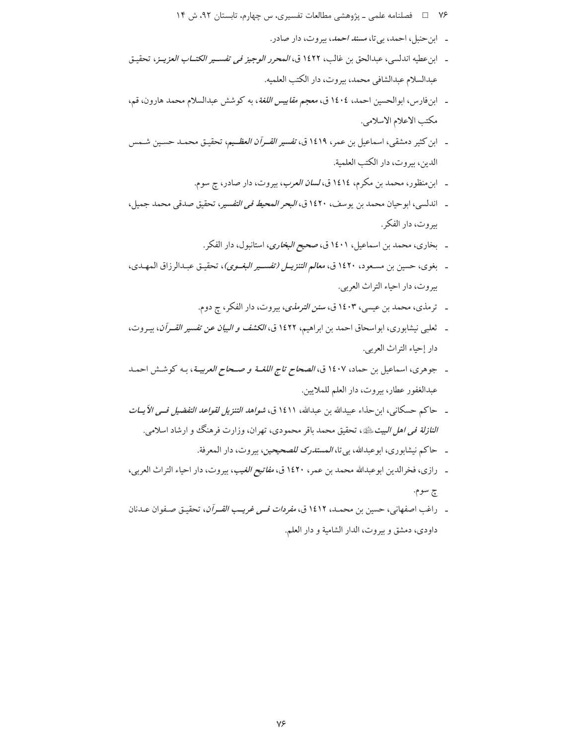- ۷۶ = د فصلنامه علمی ـ پژوهشی مطالعات تفسیری، س چهارم، تابستان ۹۲، ش ۱۴
	- ـ ابن حنبل، احمد، بي تا، مسند احمد، بيروت، دار صادر.
- ـ ابن عطيه اندلسي، عبدالحق بن غالب، ١٤٢٢ ق، *المحرر الوجيز في تفسـير الكتــاب العزيــز*، تحقيـق عبدالسلام عبدالشافي محمد، بيروت، دار الكتب العلميه.
- ـ ابن فارس، ابوالحسين احمد، ١٤٠٤ ق، معجم *مقاييس اللغة*، به كوشش عبدالسلام محمد هارون، قم، مكتب الاعلام الاسلامي.
- ـ ابن كثير دمشقى، اسماعيل بن عمر، ١٤١٩ ق، *تفسير القــرآن العظــيم*، تحقيـق محمـد حسـين شـمس الدين، بيروت، دار الكتب العلمية.
	- ۔ ابن منظور، محمد بن مکرم، ١٤١٤ق، *لسان العرب*، بیروت، دار صادر، چ سوم.
- ـ اندلسي، ابو حيان محمد بن يوسف، ١٤٢٠ ق، *البحر المحيط في التفسير*، تحقيق صدقي محمد جميل، بيروت، دار الفكر .
	- ـ بخاري، محمد بن اسماعيل، ١٤٠١ ق، صحي*ح البخاري*، استانبول، دار الفكر.
- بغوي، حسين بن مسعود، ١٤٢٠ ق، *معالم التنزيـل (تفسـير البغـوي)*، تحقيـق عبـدالرزاق المهـدي، بيروت، دار احياء التراث العربي.
	- \_ ترمذي، محمد بن عيسى، ١٤٠٣ ق، *سنن الترمذي*، بيروت، دار الفكر، ج دوم.
- ـ ثعلبي نيشابوري، ابواسحاق احمد بن ابراهيم، ١٤٢٢ ق، *الكشف و البيان عن تفسير القــرآن*، بيـروت، دار إحياء التراث العربي.
- ـ جوهري، اسماعيل بن حماد، ١٤٠٧ ق، *الصحاح تاج اللغــة و صـحاح العربيــة*، بـه كوشـش احمـد عبدالغفور عطار، بيروت، دار العلم للملايين.
- ـ حاكم حسكاني، ابن حذاء عبيدالله بن عبدالله، ١٤١١ ق، *شواهد التنزيل لقواعد التفضيل فـي الآيــات النازلة في اهل البيت ﷺ*، تحقيق محمد باقر محمودي، تهران، وزارت فرهنگ و ارشاد اسلامي.
	- ـ حاكم نيشابوري، ابوعبدالله، بي تا، *المستدرك للصحيحين*، بيروت، دار المعرفة.
- ـ رازي، فخرالدين ابوعبدالله محمد بن عمر، ١٤٢٠ ق، *مفاتيح الغيب*، بيروت، دار احياء التراث العربي، چ سوم.
- ـ راغب اصفهاني، حسين بن محمـد، ١٤١٢ ق، *مفردات فــي غريــب القــرآن*، تحقيـق صـفوان عـدنان داودي، دمشق وبيروت، الدار الشامية و دار العلم.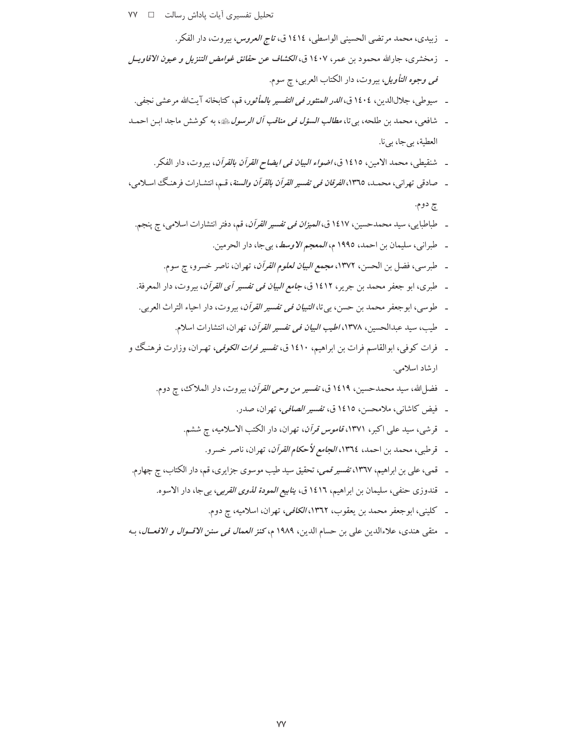تحلیل تفسیری آیات پاداش رسالت □

- زبيلدي، محمد مر تضي الحسي، الولصلي، ٤ 14،14 و، تا
$$
i_1 \frac{1}{2} \left( \frac{1}{2} \left( \frac{1}{2} \left( \frac{1}{2} \left( \frac{1}{2} \left( \frac{1}{2} \left( \frac{1}{2} \left( \frac{1}{2} \left( \frac{1}{2} \left( \frac{1}{2} \left( \frac{1}{2} \left( \frac{1}{2} \left( \frac{1}{2} \left( \frac{1}{2} \left( \frac{1}{2} \left( \frac{1}{2} \left( \frac{1}{2} \left( \frac{1}{2} \left( \frac{1}{2} \left( \frac{1}{2} \left( \frac{1}{2} \left( \frac{1}{2} \left( \frac{1}{2} \left( \frac{1}{2} \left( \frac{1}{2} \left( \frac{1}{2} \left( \frac{1}{2} \left( \frac{1}{2} \left( \frac{1}{2} \left( \frac{1}{2} \left( \frac{1}{2} \left( \frac{1}{2} \left( \frac{1}{2} \left( \frac{1}{2} \left( \frac{1}{2} \left( \frac{1}{2} \left( \frac{1}{2} \left( \frac{1}{2} \left( \frac{1}{2} \left( \frac{1}{2} \left( \frac{1}{2} \left( \frac{1}{2} \left( \frac{1}{2} \left( \frac{1}{2} \left( \frac{1}{2} \left( \frac{1}{2} \left( \frac{1}{2} \left( \frac{1}{2} \left( \frac{1}{2} \left( \frac{1}{2} \left( \frac{1}{2} \left( \frac{1}{2} \left( \frac{1}{2} \left( \frac{1}{2} \left( \frac{1}{2} \left( \frac{1}{2} \left( \frac{1}{2} \left( \frac{1}{2} \left( \frac{1}{2} \left( \frac{1}{2} \left( \frac{1}{2} \left( \frac{1}{2} \left( \frac{1}{2} \left( \frac{1}{2} \left( \frac{1}{2} \left( \frac{1}{2} \left( \frac{1}{2} \left( \frac{1}{2} \left( \frac{1}{2} \left( \frac{1}{2} \left( \frac{1}{2} \left( \frac{1}{2} \left
$$